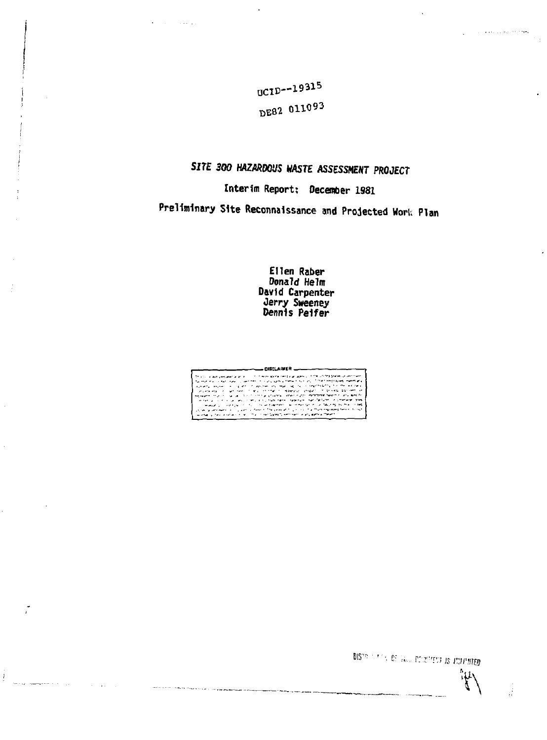UCID--19315 DE82 011093

# *SITE 300 HAZARDOUS* **WASTE** *ASSESSMENT PROJECT*

# **Interim Report; December 1981**

**Preliminary Site Reconnaissance and Projected Work Plan** 

**Ellen Raber Donald Helm David Carpenter**  *ferry* **Sweeney Dennis Pelfer** 



 $\boldsymbol{l}$ 

DIS ^ **c : :,...** *r. r'r.; is ai'vrm* 

*'t\* 

4Ê

.<br>. . . . . . . . . . .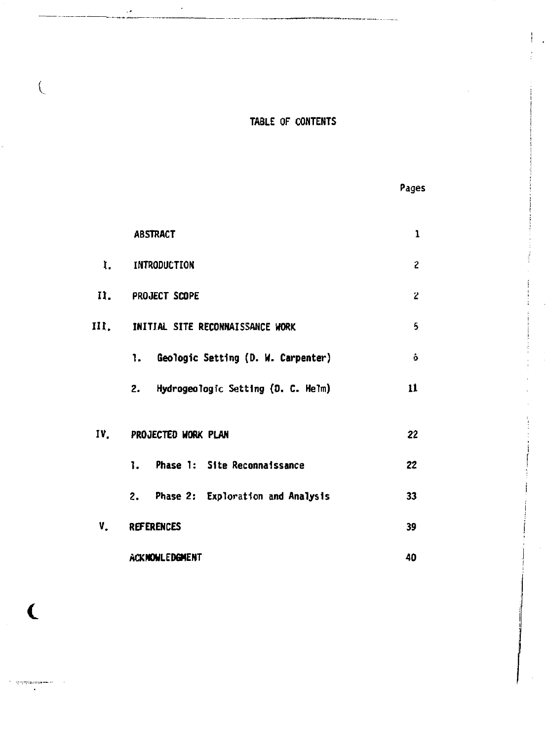# **TABLE OF CONTENTS**

 $\ddot{\phantom{0}}$ 

 $\left($ 

|--|

|     | <b>ABSTRACT</b>                       | 1              |
|-----|---------------------------------------|----------------|
| r.  | INTRODUCTION                          | $\overline{c}$ |
|     | II. PROJECT SCOPE                     | $\overline{2}$ |
|     | III. INITIAL SITE RECONNAISSANCE WORK | 5              |
|     | 1. Geologic Setting (D. W. Carpenter) | ô              |
|     | 2. Hydrogeologic Setting (D. C. Helm) | 11             |
| IV. | PROJECTED WORK PLAN                   | 22             |
|     | 1. Phase 1: Site Reconnaissance       | 22             |
|     | 2. Phase 2: Exploration and Analysis  | 33             |
| v.  | <b>REFERENCES</b><br>39<br>40         |                |
|     | ACKMONLEDGMENT                        |                |

 $\epsilon$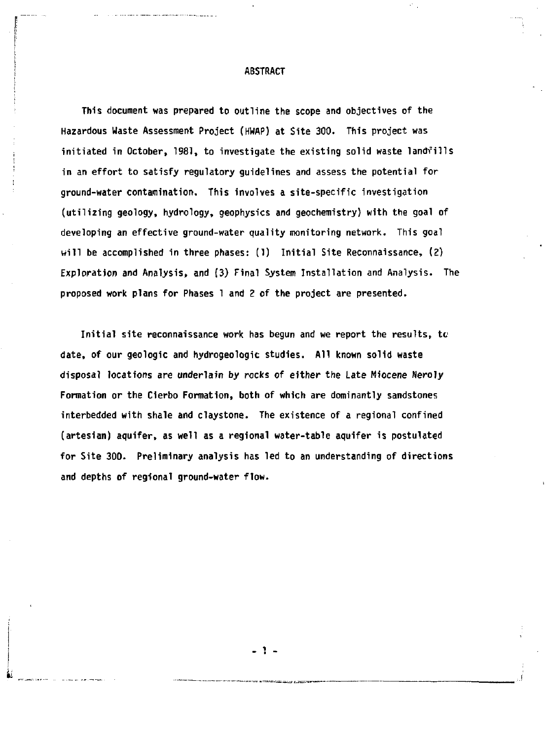#### **ABSTRACT**

**This document was prepared to outline the scope and objectives of the Hazardous Waste Assessment Project (HWAP) at Site 300. This project was initiated in October, 1981, to investigate the existing solid waste landfills in an effort to satisfy regulatory guidelines and assess the potential for ground-water contamination. This involves a site-specific investigation (utilizing geology, hydrology, geophysics and geochemistry) with the goal of developing an effective ground-water quality monitoring network. This goal will be accomplished in three phases: (1) Initial Site Reconnaissance, (2) Exploration and Analysis, and (3) Final System Installation and Analysis. The proposed work plans for Phases 1 and 2 of the project are presented.** 

**Initial site reconnaissance work has begun and we report the results, to date, of our geologic and hydrogeologic studies. All known solid waste disposal locations are underlain by rocks of either the Late Miocene Neroly Formation or the Cierbo Formation, both of which are dominantly sandstones interbedded with shale and claystone. The existence of a regional confined (artesian) aquifer, as well as a regional water-table aquifer is postulated for Site 300. Preliminary analysis has led to an understanding of directions and depths of regional ground-water flow.** 

. . .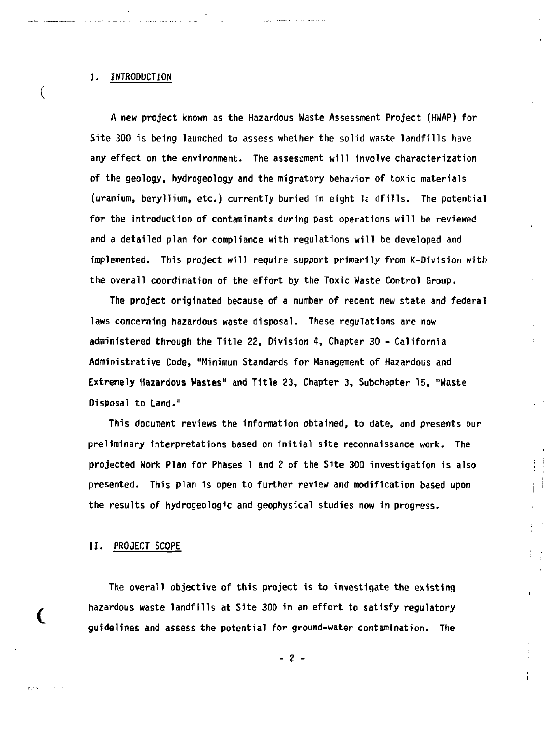### **I. INTRODUCTION**

 $\left($ 

**A new project known as the Hazardous Waste Assessment Project (HWAP) for Site 300 is being launched to assess whether the solid waste landfills have any effect on the environment. The assessment will involve characterization of the geology, hydrogeology and the migratory behavior of toxic materials (uranium, beryllium, etc.) currently buried in eight 1E dfilis- The potential for the introduction of contaminants during past operations will be reviewed and a detailed plan for compliance with regulations will be developed and implemented. This project will require support primarily from K-Division with the overall coordination of the effort by the Toxic Waste Control Group.** 

**The project originated because of a number of recent new state and federal laws concerning hazardous waste disposal. These regulations are now administered through the Title 22, Division 4, Chapter 30 - California Administrative Code, "Minimum Standards for Management of Hazardous and Extremely Hazardous Wastes" and Title 23, Chapter 3, Subchapter 15, "Waste Disposal to Land."** 

**This document reviews the information obtained, to date, and presents our preliminary interpretations based on initial site reconnaissance work. The projected Work Plan for Phases 1 and 2 of the Site 300 investigation is also presented. This plan is open to further review and modification based upon the results of hydrogeologic and geophysical studies now in progress.** 

#### **II. PROJECT SCOPE**

**The overall objective of this project is to investigate the existing hazardous waste landfills at Site 300 in an effort to satisfy regulatory guidelines and assess the potential for ground-water contamination. The** 

**-** *2 -*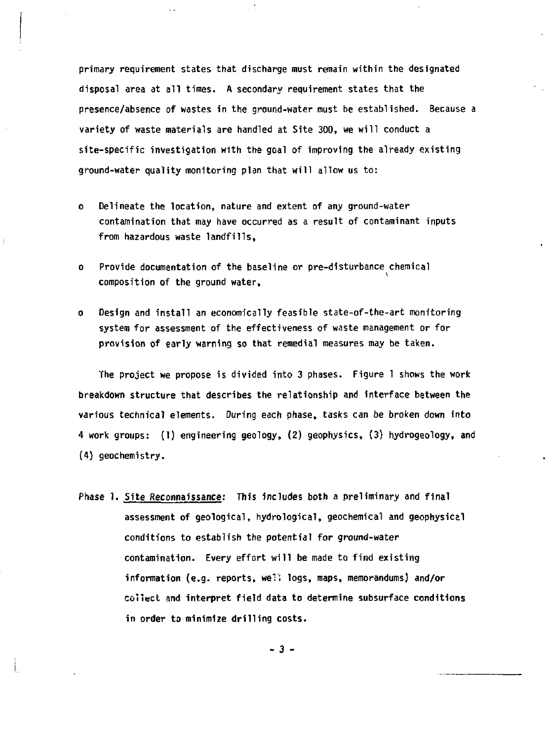**primary requirement states that discharge must remain within the designated disposal area at all times. A secondary requirement states that the presence/absence of wastes in the ground-water must be established. Because a variety of waste materials are handled at Site 300, we will conduct a site-specific investigation with the goal of improving the already existing ground-water quality monitoring plan that will allow us to:** 

- **o Delineate the location, nature and extent of any ground-water contamination that may have occurred as a result of contaminant inputs from hazardous waste landfills,**
- **o Provide documentation of the baseline or pre-disturbance chemical composition of the ground water,**
- **o Design and install an economically feasible state-of-the-art monitoring system for assessment of the effectiveness of waste management or for provision of early warning so that remedial measures may be taken.**

**The project we propose is divided into 3 phases. Figure 1 shows the work breakdown structure that describes the relationship and interface between the various technical elements. During each phase, tasks can be broken down into 4 work groups: (1) engineering geology, (2) geophysics, (3) hydrogeology, and (4) geochemistry.** 

**Phase 1. Site Reconnaissance: This includes both a preliminary and final assessment of geological, hydrological, geochemical and geophysical conditions to establish the potential for ground-water contamination. Every effort will be made to find existing**  information (e.g. reports, we<sup>1</sup>; logs, maps, memorandums) and/or **collect and interpret field data to determine subsurface conditions in order to minimize drilling costs.** 

**- 3 -**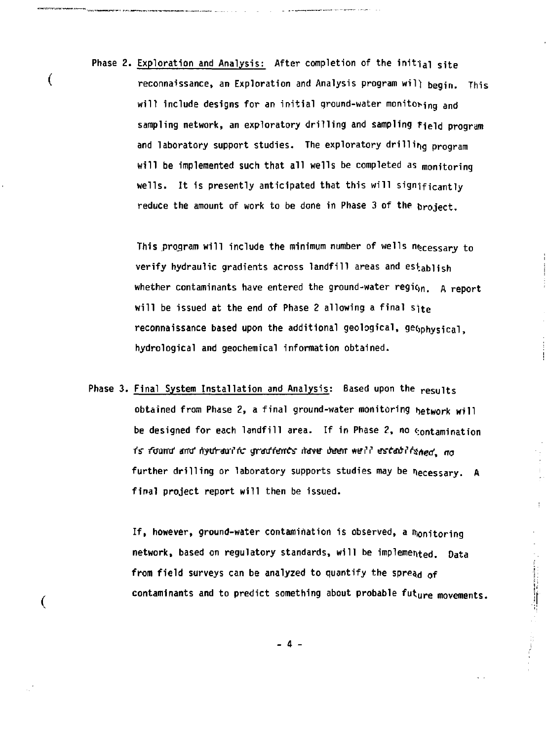**Phase 2. Exploration and Analysis: After completion of the initial site**  reconnaissance, an Exploration and Analysis program will begin. This will include designs for an initial ground-water monitoring and **sampling network, an exploratory drilling and sampling field program and laboratory support studies. The exploratory drilling program will be implemented such that all wells be completed as monitoring**  wells. It is presently anticipated that this will significantly **reduce the amount of work to be done in Phase 3 of the broject.** 

 $\overline{ }$ 

 $\overline{\mathcal{L}}$ 

**This projram will include the minimum number of wells necessary to verify hydraulic gradients across landfill areas and establish whether contaminants have entered the ground-water region.** A report **will be issued at the end of Phase 2 allowing a final site**  reconnaissance based upon the additional geological, geophysical, **hydrological and geochemical information obtained.** 

**Phase 3. Final System Installation and Analysis: Based upon the results**  obtained from Phase 2, a final ground-water monitoring hetwork will be designed for each landfill area. If in Phase 2, no  $\epsilon$ ontamination is found and hydraulic gradients have been well established, no further drilling or laboratory supports studies may be necessary. A final project report will then be issued.

> If, however, ground-water contamination is observed, a monitoring network, based on regulatory standards, will be implemented. Data from field surveys can be analyzed to quantify the spread of contaminants and to predict something about probable future movements.

 $\vdots$ 

- 4 -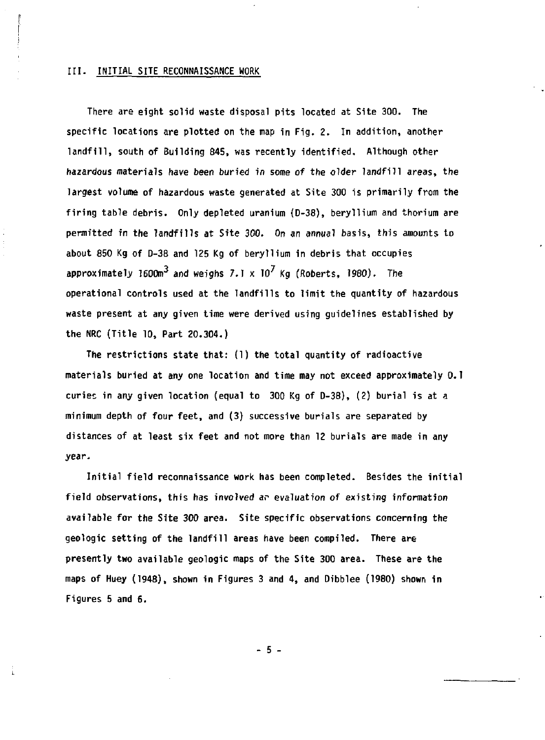#### **III. INITIAL SITE RECONNAISSANCE WORK**

**There are eight solid waste disposal pits located at Site 300. The specific locations are plotted on the map in Fig. 2. In addition, another landfill, south of Building 845, was recently identified. Although other hazardous materials have been buried in some of the older landfill areas, the largest volume of hazardous waste generated at Site 300 is primarily from the firing table debris. Only depleted uranium (D-38), beryllium and thorium are permitted in the landfills at Site 300. On an** *annual* **basis, this amounts to about 850 Kg of D-38 and 125 Kg of beryllium in debris that occupies approximately 1600m<sup>3</sup> and weighs 7.1 x 10 Kg (Roberts, 1980). The operational controls used at the landfills to limit the quantity of hazardous waste present at any given time were derived using guidelines established by the NRC (Title 10, Part 20.304.)** 

**The restrictions state that: (1) the total quantity of radioactive materials buried at any one location and time may not exceed approximately 0.1 curies in any given location (equal to 300 Kg of D-38), (2) burial is at a minimum depth of four feet, and (3) successive burials** *are* **separated by distances of at least six feet and not more than 12 burials are made in any**  *year^* 

**Initial field reconnaissance work has been completed. Besides the initial field observations, this has involved** *ar* **evaluation of existing information available for the Site 300 area. Site specific observations concerning the geologic setting of the landfill areas have been compiled. There are presently two available geologic maps of the Site 300 area. These are the maps of Huey (1948), shown in Figures 3 and 4, and Dibblee (1980) shown in Figures 5 and 6.** 

**- 5 -**

i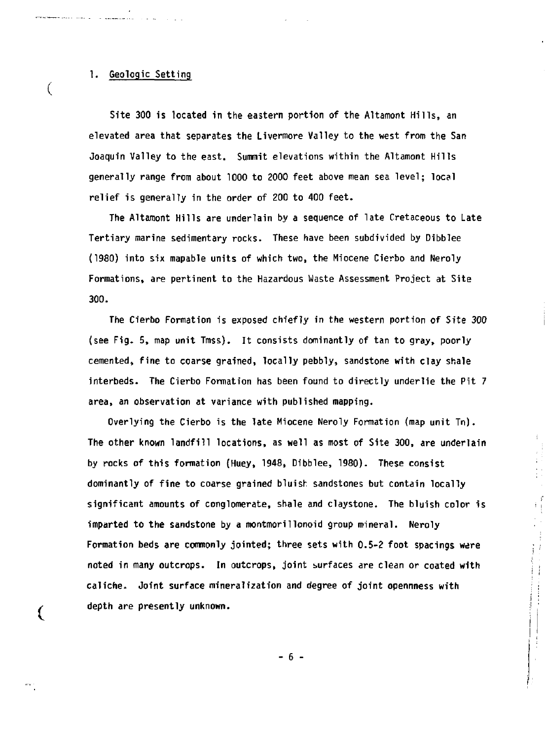#### **1. Geologic Setting**

**Site 300 is located in the eastern portion of the Altamont Hills, an elevated area that separates the Livermore Valley to the west from the San Joaquin Valley to the east. Summit elevations within the Altamont Hills generally range from about 1000 to 2000 feet above mean sea level; local relief is generally in the order of 200 to 400 feet.** 

**The Altamont Hills are underlain by a sequence of late Cretaceous to Late Tertiary marine sedimentary rocks. These have been subdivided by Dibblee (1980) into six mapable units of which two, the Miocene Cierbo and Neroly Formations, are pertinent to the Hazardous Waste Assessment Project at Site 300.** 

**The Cierbo Formation is exposed chiefly in the western portion of Site** *300*  (see Fig. 5, map unit Tmss). It consists dominantly of tan to gray, poorly **cemented, fine to coarse grained, locally pebbly, sandstone with clay shale interbeds. The Cierbo Formation has been found to directly underlie the Pit 7 area, an observation at variance with published mapping.** 

**Overlying the Cierbo is the late Miocene Neroly Formation (map unit Tn). The other known landfill locations, as well as most of Site 300, are underlain by rocks of this formation (Huey, 1948, Dibblee, 1980). These consist dominantly of fine to coarse grained bluish sandstones but contain locally significant amounts of conglomerate, shale and claystone. The bluish color is imparted to the sandstone by a montmorillonoid group mineral. Neroly Formation beds are commonly jointed; three sets with 0.5-2 foot spacings were noted in many outcrops. In outcrops, joint surfaces are clean or coated with caliche- Joint surface mineralization and degree of joint opennness with depth are presently unknown.** 

 $\frac{1}{4}$ 

 $\big($ 

 $\overline{\mathcal{L}}$ 

**- 6 -**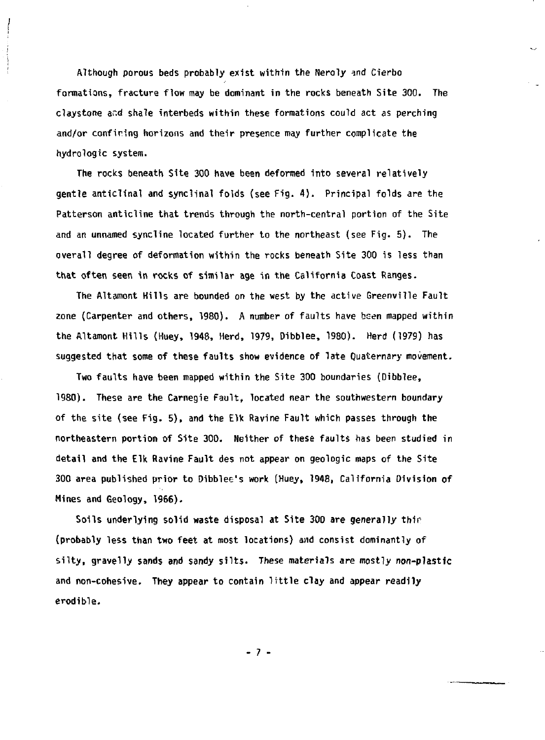**Although porous beds probably exist within the Neroly ^nd Cierbo formations, fracture flow may be dominant in the rocks beneath Site 300. The claystone and shale interbeds within these formations could act as perching and/or confining horizons and their presence may further complicate the hydrologic system.** 

**The rocks beneath Site 300 have been deformed into several relatively gentle anticlinal and synclinal folds (see Fig. 4) . Principal folds are the Patterson anticline that trends through the north-central portion of the Site and an unnamed syncline located further to the northeast (see Fig. 5). The overall degree of deformation within the rocks beneath Site 300 is less than that often seen in rocks of similar age in the California Coast Ranges.** 

**The Altamont Kills are bounded on the west by the active Greenville Fault zone (Carpenter and others, 1980). A number of faults have been mapped within the Altamont Hills (Huey, 1948, Herd, 1979, Dibblee, 1980). Herd (1979) has suggested that some of these faults show evidence of late Quaternary movement.** 

**Two faults have been mapped within the Site 300 boundaries (Dibblee, 1980). These are the Carnegie Fault, located near the southwestern boundary of the site (see Fig. 5), and the Elk Ravine Fault which passes through the northeastern portion of Site 300. Neither of these faults has been studied in detail and the Elk Ravine Fault des not appear on geologic maps of the Site 300 area published prior to Dibblee's work (Huey, 1948, California Division of Mines and Geology, 1966).** 

**Soils underlying solid waste disposal at Site 300 are generally thir (probably less than two feet at most locations) and consist dominantly of silty, gravelly sands and sandy silts. These materials** *are* **mostly non-plastic and non-cohesive. They appear to contain little clay and appear readily erodible.** 

**- 7 -**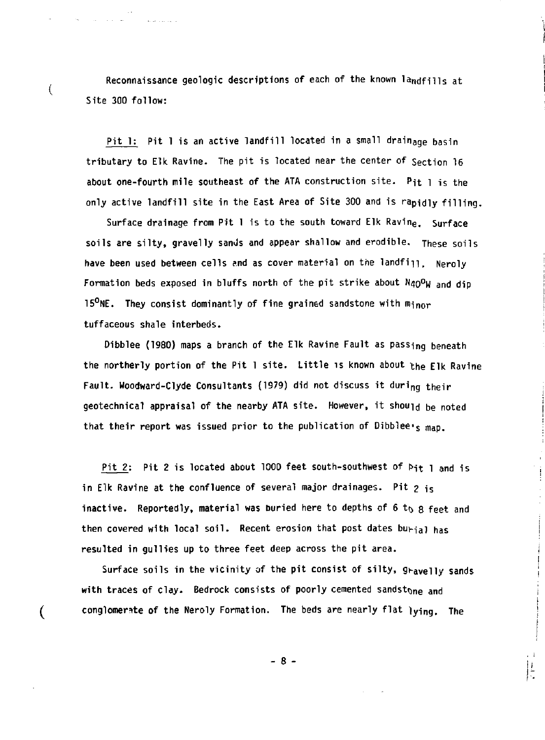Reconnaissance geologic descriptions of each of the known landfills at **Site 300 follow:** 

 $\overline{(}$ 

 $\overline{(}$ 

**Pit 1: Pit 1 is an active landfill located in a small drainage basin tributary to Elk Ravine. The pit is located near the center of Section 16 about one-fourth mile southeast of the ATA construction site. Pit l is the only active landfill site in the East Area of Site 300 and is rapidly filling.** 

**Surface drainage from Pit 1 is to the south toward Elk Ravin<sup>e</sup> . Surface soils are silty, gravelly sands and appear shallow and erodibie. These soils**  have been used between cells and as cover material on the landfi<sub>ll. Neroly</sub> **Formation beds exposed in bluffs north of the pit strike about N4o°W and dip 15°NE. They consist dominantly of fine grained sandstone with minor tuffaceous shale interbeds.** 

**Oibblee (1980) maps a branch of the Elk Ravine Fault as passing beneath the northerly portion of the Pit 1 site. Little is known about the Elk Ravine**  Fault. Woodward-Clyde Consultants (1979) did not discuss it during their **geotechnical appraisal of the nearby ATA site. However, it should be noted that their report was issued prior to the publication of Dibblee's map.** 

Pit 2: Pit 2 is located about 1000 feet south-southwest of Pit 1 and is in Elk Ravine at the confluence of several major drainages. Pit  $p_{15}$ inactive. Reportedly, material was buried here to depths of 6 to 8 feet and **then covered with local soil. Recent erosion that post dates buv-iai has resulted in gullies up to three feet deep across the pit area.** 

Surface soils in the vicinity of the pit consist of silty, gravelly sands with traces of clay. Bedrock consists of poorly cemented sandstone and **conglomerate of the Neroly Formation. The beds are nearly flat lying. The** 

**- 8 -**

 $\frac{1}{2}$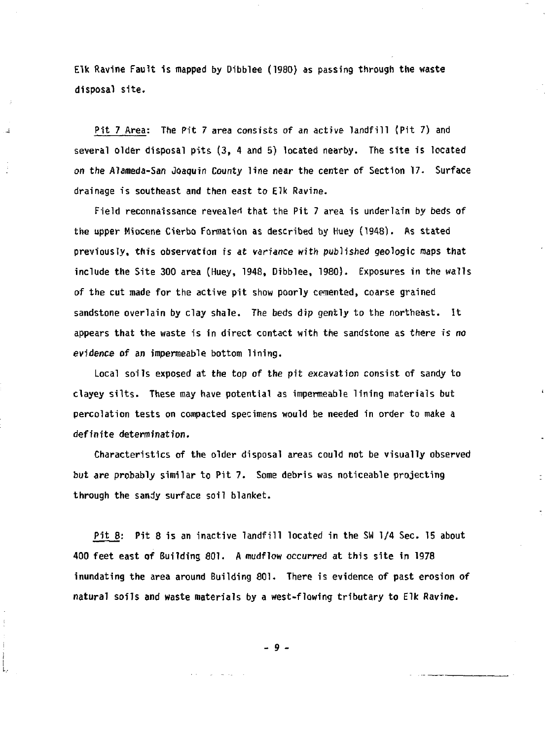**Elk Ravine Fault is mapped by Dibblee (1980) as passing through the waste disposal site.** 

**Pit 7 Area: The Pit 7 area consists of an active landfill (Pit 7) and several older disposal pits (3, 4 and 5) located nearby. The site is located**  *on* **the Alameda-San Joaquin County line near the center of Section 17. Surface drainage is southeast and then east to Elk Ravine.** 

**Field reconnaissance revealed that the Pit 7 area is underlain by beds of the upper Miocene Cierbo Formation as described by Huey (1948). As stated previously, this observation is at** *variance* **with published geologic maps that include the Site 300 area (Huey, 1948, Dibblee, 1980). Exposures in the walls of the cut made for the active pit show poorly cemented, coarse grained sandstone overlain by clay shale. The beds dip gently to the northeast. It appears that the waste is in direct contact with the sandstone as there** *is no*  **evidence of an impermeable bottom lining.** 

**Local soils exposed at the top of the pit excavation consist of sandy to clayey silts. These may have potential as impermeable lining materials but percolation tests on compacted specimens would be needed in order to make a definite determination.** 

**Characteristics of the older disposal areas could not be visually observed but** *^re* **probably similar to Pit 7. Some debris was noticeable projecting through the sandy surface soil blanket.** 

**Pit 8: Pit 8 is an inactive landfill located in the SU 1/4 Sec. 15 about 400 feet east of Building 801. A mudflow** *occurred* **at this site in 1978 inundating the area around Building 801. There is evidence of past erosion of natural soils and waste materials by a west-flowing tributary to Elk Ravine.** 

**- 9 -**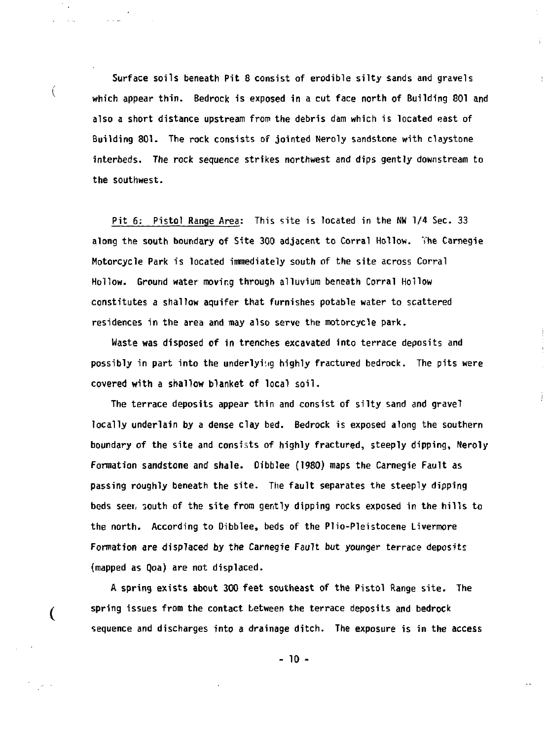**Surface soils beneath Pit 8 consist of erodible silty sands and gravels which appear thin. Bedrock is exposed in a cut face north of Building 801 and also a short distance upstream from the debris dam which is located east of Building 801. The rock consists of jointed Neroly sandstone with claystone interbeds. The rock sequence strikes northwest and dips gently downstream to the southwest.** 

Ú

 $\overline{(\ }$ 

ŧ

**Pit 6: Pistol Range Area: This site is located in the Nw 1/4 Sec. 33 along the south boundary of Site 300 adjacent to Corral Hollow. The Carnegie Motorcycle Park is located immediately south of the site across Corral Hollow. Ground water moving through alluvium beneath Corral Hollow constitutes a shallow aquifer that furnishes potable water to scattered residences in the area and may also serve the motorcycle park.** 

**Waste was disposed of in trenches excavated into terrace deposits and possibly in part into the underlying highly fractured bedrock. The pits were covered with a shallow blanket of local soil.** 

**The terrace deposits appear thin and consist of silty sand and gravel locally underlain by a dense clay bed. Bedrock is exposed along the southern boundary of the site and consists of highly fractured, steeply dipping, Neroly Formation sandstone and shale. Dibblee (1980) maps the Carnegie Fault as passing roughly beneath the site. The fault separates the steeply dipping beds seer, south of the site from gently dipping rocks exposed in the hills to the north. According to Dibblee, beds of the Plio-Pleistocene Livermore Formation** *are* **displaced by the Carnegie Fault but younger terrace deposits (mapped as Qoa) are not displaced.** 

**A spring exists about 300 feet southeast of the Pistol Range site. The spring issues from the contact between the terrace deposits and bedrock sequence and discharges into a drainage ditch. The exposure is in the access** 

**- 10 -**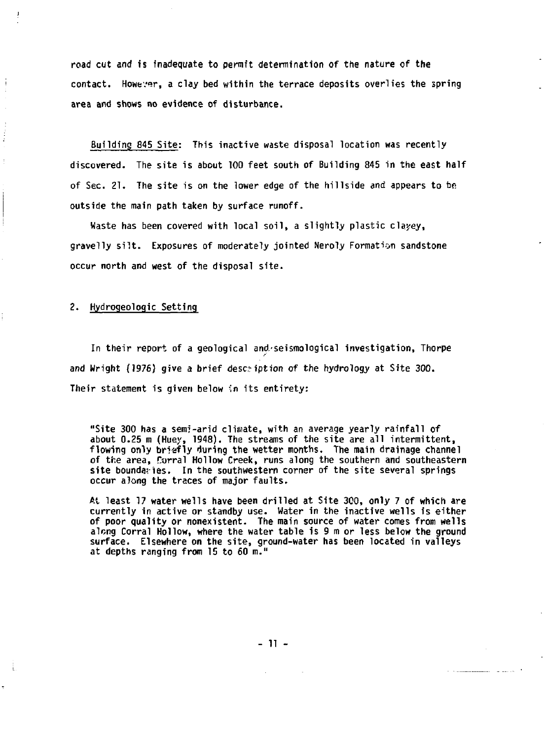**road cut and is inadequate to permit determination of the nature of the contact. However, a clay bed within the terrace deposits overlies the spring area and shows no evidence of disturbance.** 

**Building 845 Site: This inactive waste disposal location was recently discovered. The site is about 100 feet south of Building 845 in the east half of Sec. 21. The site is on the lower edge of the hillside and appears to be outside the main path taken by surface runoff.** 

**Waste has been covered with local soil, a slightly plastic clayey, gravelly silt. Exposures of moderately jointed Neroly Formation sandstone occur north and west of the disposal site.** 

**2. Hydrogeologic Setting** 

-i

**In their report of a geological and.-seismological investigation, Thorpe and Wright (1976) give a brief description of the hydrology at Site 300. Their statement is given below 'in its entirety:** 

**"Site 300 has a semi-arid climate, with an average yearly rainfall of about 0.25 m (Huey, 1948). The streams of the site are all intermittent, flowing only briefly during the wetter months. The main drainage channel of the area, Corral Hollow Creek, runs along the southern and southeastern site boundaries. In the southwestern corner of the site several springs occur along the traces of major faults.** 

**At least 17 water wells have been drilled at Site 300, only 7 of which are currently in active or standby use. Water in the inactive wells is either of poor quality or nonexistent. The main source of water comes from wells along Corral Hollow, where the water table is 9 m or less below the ground surface. Elsewhere on the site, ground-water has been located in valleys at depths ranging from 15 to 60 m."** 

**- 11 -**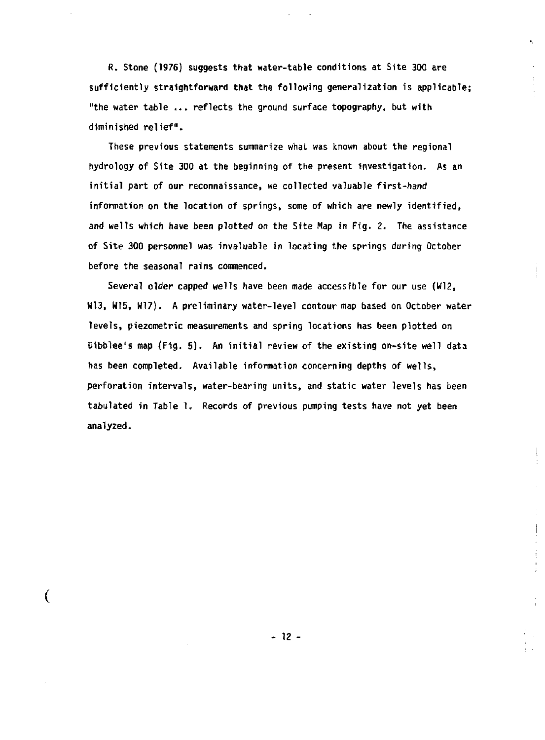**fi. Stone (1976) suggests that water-table conditions at Site 300 are sufficiently straightforward that the following generalization is applicable; "the water table .•. reflects the ground surface topography, but with diminished relief".** 

**These previous statements summarize what was known about the regional hydrology of Site 300 at the beginning of the present investigation. As an initial part of our reconnaissance, we collected valuable first-hand information on the location of springs, some of which are newly identified, and wells which have been plotted on the Site Map in Fig.** *Z.* **The assistance of Site 300 personnel was invaluable in locating the springs during October before the seasonal rains commenced.** 

**Several older capped wells have been made accessible for our use (W12, W13, W15, W17). A preliminary water-level contour map based on October water levels, piezometric measurements and spring locations has been plotted on Dibblee's map (Fig. 5) . An initial review of the existing on-site well data has been completed. Available information concerning depths of wells, perforation intervals, water-bearing units, and static water levels has been tabulated in Table 1. Records of previous pumping tests have not yet been analyzed.** 

**j** 

i

**- 12 -**

**(**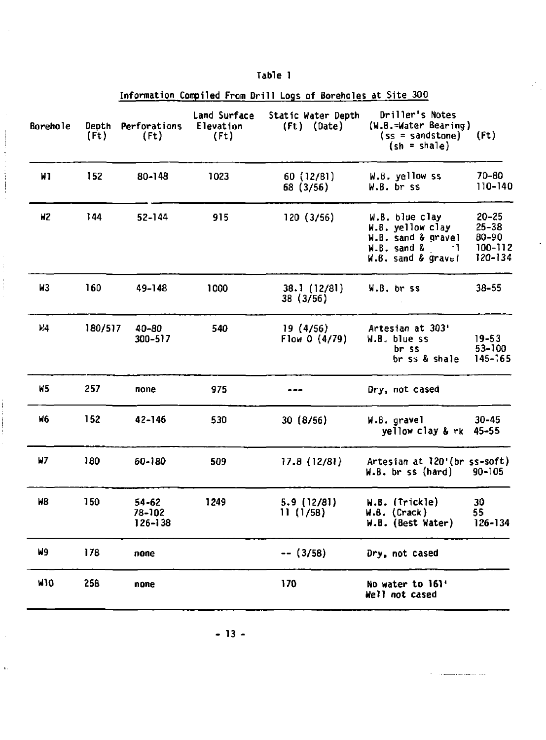|          |                            | Information Compiled From Drill Logs of Boreholes at Site 300 |                                   |                                     |                                                                                                      |                                                       |
|----------|----------------------------|---------------------------------------------------------------|-----------------------------------|-------------------------------------|------------------------------------------------------------------------------------------------------|-------------------------------------------------------|
| Borehole | Depth<br>(f <sub>t</sub> ) | <b>Perforations</b><br>(Ft)                                   | Land Surface<br>Elevation<br>(Ft) | Static Water Depth<br>$(ft)$ (Date) | Driller's Notes<br>(W.B.=Water Bearing)<br>$(ss = sandstone)$<br>$(sh = shale)$                      | (ft)                                                  |
| W1       | 152                        | $80 - 148$                                                    | 1023                              | 60(12/81)<br>68 (3/56)              | W.B. yellow ss<br>W.B. br ss                                                                         | 70-80<br>110-140                                      |
| HZ       | 144                        | $52 - 144$                                                    | 915                               | 120(3/56)                           | W.B. blue clay<br>W.B. yellow clay<br>W.B. sand & gravel<br>W.B. sand &<br>- 1<br>W.B. sand & gravel | $20 - 25$<br>$25 - 38$<br>80-90<br>100-112<br>120-134 |
| W3       | 160                        | 49-148                                                        | 1000                              | 38.1(12/81)<br>38 (3/56)            | W.B. br ss                                                                                           | $38 - 55$                                             |
| 14       | 180/517                    | 40-80<br>300-517                                              | 540                               | 19 (4/56)<br>Flow $0(4/79)$         | Artesian at 303'<br>W.B. blue ss<br>br ss<br>br ss & shale                                           | $19 - 53$<br>53-100<br>$145 - 65$                     |
| н5       | 257                        | none                                                          | 975                               |                                     | Dry, not cased                                                                                       |                                                       |
| W6       | 152                        | 42-146                                                        | 530                               | 30(8/56)                            | W.B. gravel<br>yellow clay & rk                                                                      | $30 - 45$<br>45–55                                    |
| W7       | 180                        | 60-180                                                        | 509                               | 17.8(12/81)                         | Artesian at 120' (br ss-soft)<br>$W.B.$ br ss (hard)<br>90-105                                       |                                                       |
| Ν8       | 150                        | $54 - 62$<br>78-102<br>126-138                                | 1249                              | 5.9 (12/81)<br>11(1/58)             | W.B. (Trickle)<br>W.B. (Crack)<br>W.B. (Best Water)                                                  | 30<br>55<br>126-134                                   |
| N9       | 178                        | none                                                          |                                   | $--(3/58)$                          | Dry, not cased                                                                                       |                                                       |
| W10      | 258                        | none                                                          |                                   | 170                                 | No water to 161'<br>Well not cased                                                                   |                                                       |

**Table 1** 

 $\sim$  100  $\mu$  mass and  $\sim$  100  $\mu$  mass and  $\mu$ 

Ĵ,

 $\mathbf{r}$ 

 $\mathbb{R}^n$  .

. . . . . . . .

**- 13 -**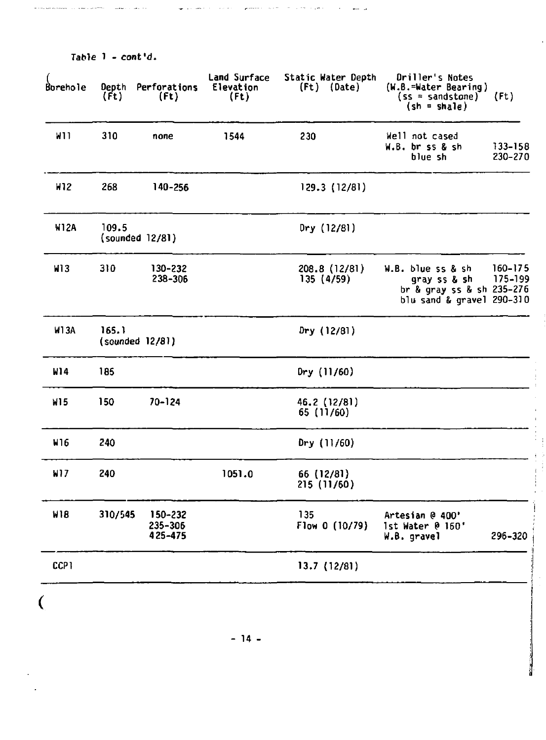| Boreho le   | Depth<br>(Ft) | Perforations<br>(f <sub>t</sub> ) | Land Surface<br>Elevation<br>(ft) | Static Water Depth<br>(Ft) (Date) | Driller's Notes<br>(W.B.=Water Bearing)<br>$(ss = sandstone)$<br>$(sh = share)$             | (Ft)               |
|-------------|---------------|-----------------------------------|-----------------------------------|-----------------------------------|---------------------------------------------------------------------------------------------|--------------------|
| W11         | 310           | none                              | 1544                              | 230                               | Well not cased<br>W.B. br ss & sh<br>blue sh                                                | 133-158<br>230-270 |
| H12         | 268           | 140-256                           |                                   | 129.3 (12/81)                     |                                                                                             |                    |
| <b>W12A</b> | 109.5         | (sounded 12/81)                   |                                   | Dry(12/81)                        |                                                                                             |                    |
| <b>M13</b>  | 310           | 130-232<br>238-306                |                                   | 208.8 (12/81)<br>135(4/59)        | W.B. blue ss & sh<br>gray ss & sh<br>br & gray ss & sh 235-276<br>blu sand & gravel 290-310 | 160-175<br>175-199 |
| <b>W13A</b> | 165.1         | (sounded 12/81)                   |                                   | Dry (12/81)                       |                                                                                             |                    |
| W14         | 185           |                                   |                                   | Dry $(11/60)$                     |                                                                                             |                    |
| W15         | 150           | 70-124                            |                                   | 46.2 (12/81)<br>65 (11/60)        |                                                                                             |                    |
| W16         | 240           |                                   |                                   | Dry (11/60)                       |                                                                                             |                    |
| W17         | 240           |                                   | 1051.0                            | 66 (12/81)<br>215(11/60)          |                                                                                             |                    |
| <b>W18</b>  | 310/545       | 150-232<br>235-306<br>425-475     |                                   | 135<br>Flow 0 (10/79)             | Artesian @ 400'<br>1st Water @ 160'<br>W.B. gravel                                          | 296-320            |
| CCP1        |               |                                   |                                   | 13.7 (12/81)                      |                                                                                             |                    |

j.

j.

والمراد

 $\ddot{\phantom{0}}$ 

 $-14 -$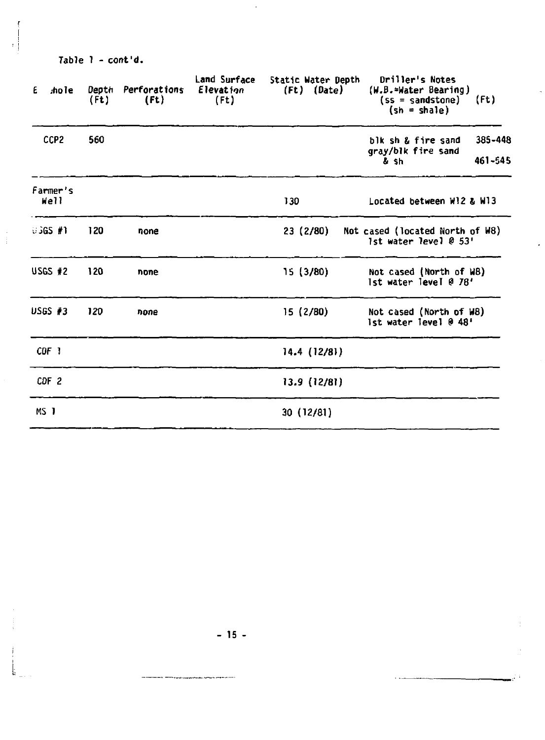| Table 1 - cont'd. |  |
|-------------------|--|
|-------------------|--|

| .ho le<br>£             | Depth<br>(ft) | Perforations<br>$($ Ft $)$ | Land Surface<br><b>Elevation</b><br>$($ Ft $)$ | Static Water Depth<br>$(ft)$ $(Date)$ | Driller's Notes<br>$(W.B.-Water Bearing)$<br>$(ss = sandstone)$<br>$(\sin = \text{shape})$ | (Ft)               |  |
|-------------------------|---------------|----------------------------|------------------------------------------------|---------------------------------------|--------------------------------------------------------------------------------------------|--------------------|--|
| CCP <sub>2</sub>        | 560           |                            |                                                |                                       | blk sh & fire sand<br>qray/blk fire sand<br>& sh                                           | 385-448<br>461-545 |  |
| Farmer's<br>Well<br>130 |               |                            |                                                |                                       | Located between W12 & W13                                                                  |                    |  |
| 03GS #1                 | 120           | none                       |                                                | 23 (2/80)                             | Not cased (located North of W8)<br>1st water level 0 53'                                   |                    |  |
| <b>USGS #2</b>          | 120           | none                       |                                                | 15 (3/80)                             | Not cased (North of W8)<br>Ist water level @ 78'                                           |                    |  |
| $USGS$ #3               | 120           | none                       |                                                | 15(2/80)                              | Not cased (North of W8)<br>1st water level @ 48'                                           |                    |  |
| CDF 1                   |               |                            |                                                | 14.4(12/8)                            |                                                                                            |                    |  |
| CDF <sub>2</sub>        |               |                            |                                                | 13.9 (12/81)                          |                                                                                            |                    |  |
| MS <sub>1</sub>         |               |                            |                                                | 30(12/81)                             |                                                                                            |                    |  |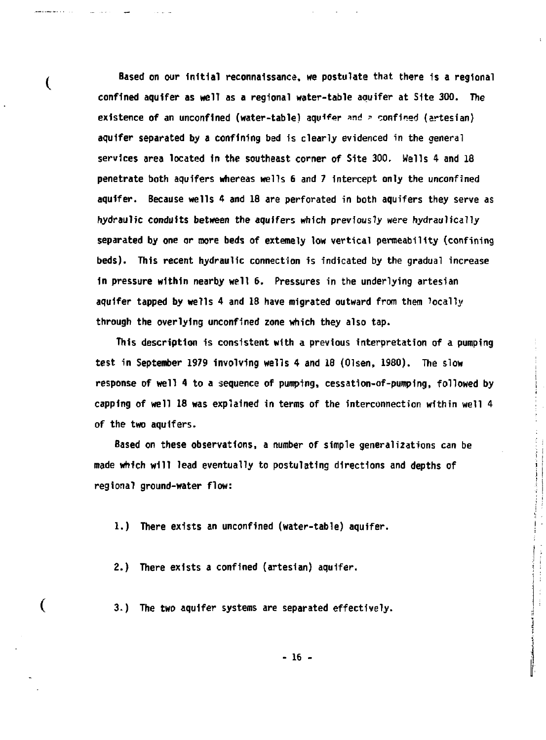**Based on our Initial reconnaissance, we postulate that there 1s a regional confined aquifer as well as a regional water-table aquifer at Site 300. The existence of an unconflned (water-table) aquifer and = confined (artesian) aquifer separated by a confining bed is clearly evidenced in the general services area located in the southeast corner of Site 300. Wells 4 and 18 penetrate both aquifers whereas wells 6 and 7 intercept only the unconfined aquifer. Because wells 4 and 18 are perforated in both aquifers they serve as hydraulic conduits between the aquifers which previously were hydraulically separated by one or more beds of extemely low vertical permeability (confining beds). This recent hydraulic connection is indicated by the gradual increase in pressure within nearby well 6. Pressures in the underlying artesian aquifer tapped by wells 4 and 18 have migrated outward from them locally through the overlying unconfined zone which they also tap.** 

€

€

**This description is consistent with a previous interpretation of a pumping test in September 1979 involving wells 4 and 18 (Olsen, 1980). The slow response of well 4 to a sequence of pumping, cessation-of-pumping, followed by capping of well 18 was explained in terms of the interconnection within well 4 of the two aquifers.** 

**Based on these observations, a number of simple generalizations can be made which will lead eventually to postulating directions and depths of regional ground-water flow:** 

 $\label{eq:2.1} \frac{1}{\sqrt{2}}\int_{0}^{1}\frac{1}{\sqrt{2}}\int_{0}^{1}\frac{1}{\sqrt{2}}\int_{0}^{1}\frac{1}{\sqrt{2}}\int_{0}^{1}\frac{1}{\sqrt{2}}\int_{0}^{1}\frac{1}{\sqrt{2}}\int_{0}^{1}\frac{1}{\sqrt{2}}\int_{0}^{1}\frac{1}{\sqrt{2}}\int_{0}^{1}\frac{1}{\sqrt{2}}\int_{0}^{1}\frac{1}{\sqrt{2}}\int_{0}^{1}\frac{1}{\sqrt{2}}\int_{0}^{1}\frac{1}{\sqrt{2}}\int_{0}^{1}\frac{1}{\sqrt$ 

**1.) There exists an unconfined (water-table) aquifer.** 

**2.) There exists a confined (artesian) aquifer.** 

**3-) The two aquifer systems are separated effectively.** 

**- 16 -**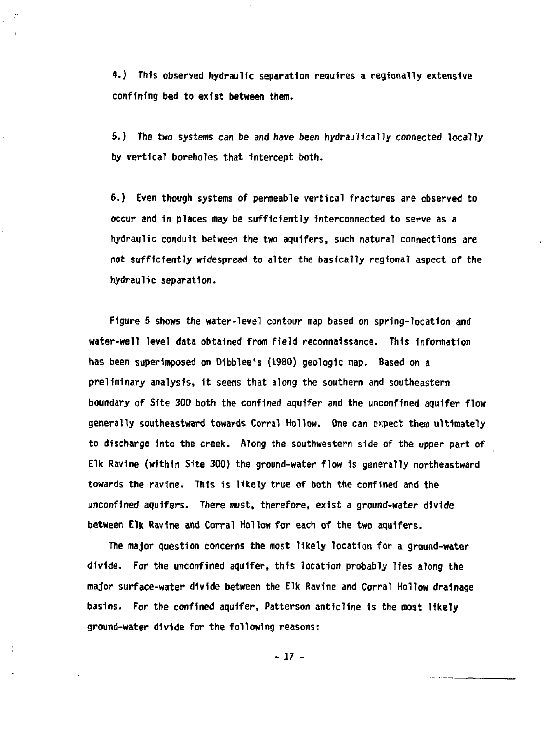**4.) This observed hydraulic separation reewires a regionally extensive confining bed to exist between them.** 

**5.) The two systems can be and have been hydraulically connected locally by vertical boreholes that intercept both.** 

**6.) Even though systems of permeable vertical fractures are observed to occur and 1n places may be sufficiently interconnected to serve as a hydraulic conduit between the two aquifers, such natural connections are not sufficiently widespread to alter the basically regional aspect of the hydraulic separation.** 

**Figure 5 shows the water-level contour map based on spring-location and water-well level data obtained from field reconnaissance. This Information has been superimposed on Dibblee's (1980) geologic map. Based on a preliminary analysis, 1t seems that along the southern and southeastern boundary of Site 300 both the confined aquifer and the unconflned aquifer flow generally southeastward towards Corral Hollow. One can expect thea ultimately to discharge Into the creek. Along the southwestern side of the upper part of Elk Ravine (within Site 300) the ground-water flow 1s generally northeastward towards the ravine. This is likely true of both the confined and the unconflned aquifers. There must, therefore, exist a ground-water divide between Elk Ravine and Corral Hollow for each of the two aquifers.** 

**The major question concerns the most likely location for a ground-water divide. For the unconfined aquifer, this location probably lies along the major surface-water divide between the Elk Ravine and Corral Hollow drainage basins. For the confined aquifer, Patterson anticline is the most likely ground-water divide for the following reasons:** 

**17 -**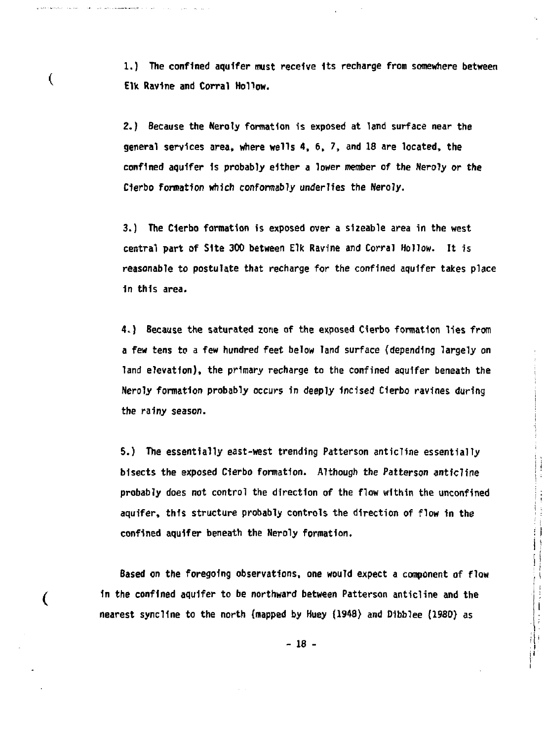**1.) The confined aquifer must receive Its recharge from somewhere between E1V Ravine and Corral Hollow.** 

**Commentary of Contract Comment** 

€

∢

**2.) Because the Neroly formation 1s exposed at land surface near the general services area, where wells 4, 6, 7, and 18 are located, the confined aquifer 1s probably either a lower member of the Neroly or the**  Cierbo formation which conformably underlies the Neroly.

**3.) The Clerbo formation is exposed over a sizeable area in the west central part of Site 300 between Elk Ravine and Corral Hollow. It 1s reasonable to postulate that recharge for the confined aquifer takes place in this area.** 

**4.) Because the saturated zone of the exposed Cierbo formation lies from a few tens to a few hundred feet below land surface (depending largely on land elevation), the primary recharge to the confined aquifer beneath the Neroly formation probably occurs in deeply Incised Clerbo ravines during the rainy season.** 

**5.) The essentially east-west trending Patterson anticline essentially bisects the exposed Cierbo formation. Although the Patterson anticline probably does not control the direction of the flow within the unconfined aquifer, this structure probably controls the direction of flow in the confined aquifer beneath the Neroly formation.** 

**Based on the foregoing observations, one would expect a component of flow In the confined aquifer to be northward between Patterson anticline and the nearest syncllne to the north (napped by Huey (1948) and Dibblee (1980) as** 

**- 18 -**

 $\begin{bmatrix} 1 & 1 & 1 \\ 1 & 1 & 1 \\ 1 & 1 & 1 \end{bmatrix}$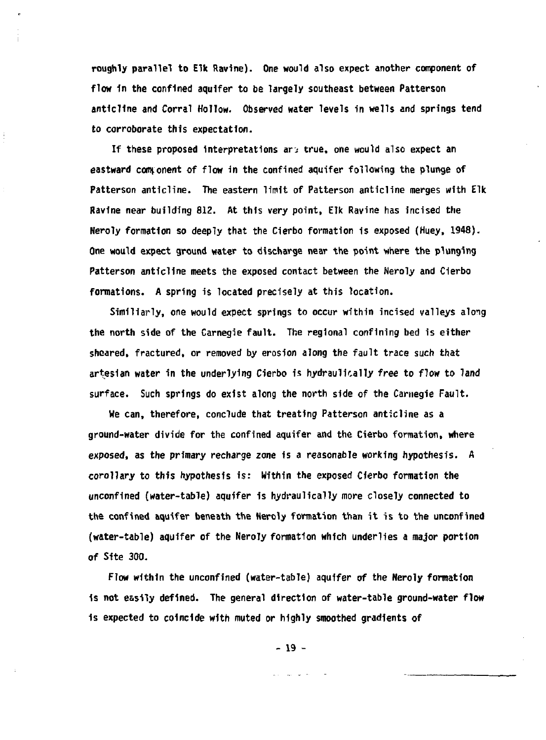**roughly parallel to Elk Ravine). One would also expect another component of flow in the confined aquifer to be largely southeast between Patterson anticline and Corral Hollow. Observed water levels in wells and springs tend to corroborate this expectation.** 

**If these proposed interpretations ar; true, one would also expect an eastward component of flow in the confined aquifer following the plunge of Patterson anticline. The eastern limit of Patterson anticline merges with Elk Ravine near building 812. At this very point, Elk Ravine has incised the Neroly formation so deeply that the Cierbo formation is exposed (Huey, 1948). One would expect ground water to discharge near the point where the plunging Patterson anticline meets the exposed contact between the Neroly and Cierbo formations. A spring is located precisely at this location.** 

**SimiHarly, one would expect springs to occur within incised valleys along the north side of the Carnegie fault. The regional confining bed is either sheared, fractured, or removed by erosion along the fault trace such that artesian water in the underlying Cierbo is hydraulically free to flow to land surface. Such springs do exist along the north side of the Carnegie Fault.** 

**We can, therefore, conclude that treating Patterson anticline as a ground-water divide for the confined aquifer and the Cierbo formation, where exposed, as the primary recharge zone is a reasonable working hypothesis. A corollary to this hypothesis is: Within the exposed Cierbo formation the unconflned (water-table) aquifer is hydraulically more closely connected to the confined aquifer beneath the Heroly formation than it is to the unconfined (water-table) aquifer of the Neroly formation which underlies a major portion of Site 300.** 

**Flow within the unconfined (water-table) aquifer of the Neroly formation 1s not easily defined. The general direction of water-table ground-water flow 1s expected to coincide with muted or highly smoothed gradients of** 

**- 19 -**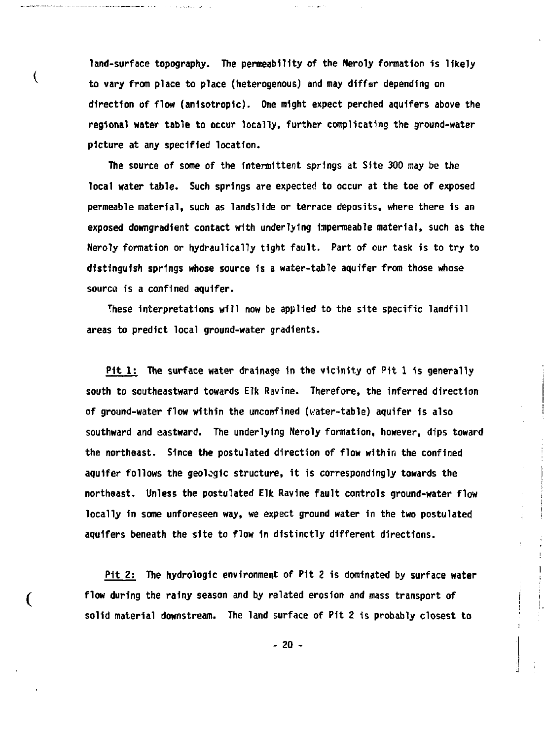**land-surface topography. The permeability of the Neroly formation 1s likely to vary from place to place (heterogenous) and may differ depending on direction of flow (anisotropic). One might expect perched aquifers above the regional water table to occur locally, further complicating the ground-water picture at any specified location.** 

المحامل المواضعة

€

€

 $\alpha\rightarrow\infty$ 

**The source of some of the intermittent springs at Site 300 may be the local water table. Such springs are expected to occur at the toe of exposed permeable material, such as landslide or terrace deposits, where there is an exposed downgradlent contact with underlying impermeable material, such as the Neroly formation or hydraulically tight fault. Part of our task is to try to distinguish springs whose source is a water-table aquifer from those whose source 1s a confined aquifer.** 

**These Interpretations will now be applied to the site specific landfill areas to predict local ground-water gradients.** 

**Pit 1: The surface water drainage 1n the vicinity of Pit 1 1s generally south to southeastward towards Elk Ravine. Therefore, the Inferred direction of ground-water flow within the unconflned (i-ater-table) aquifer 1s also southward and eastward. The underlying Neroly formation, however, dips toward the northeast. Since the postulated direction of flow within the confined aquifer follows the geologic structure, it is correspondingly towards the northeast. Unless the postulated Elk Ravine fault controls ground-water flow locally 1n some unforeseen way, we expect ground water in the two postulated aquifers beneath the site to flow in distinctly different directions.** 

**Pit 2: The hydrologlc environment of Pit 2 is dominated by surface water flow during the rainy season and by related erosion and mass transport of solid material downstream. The land surface of Pit 2 is probably closest to** 

**- 20 -**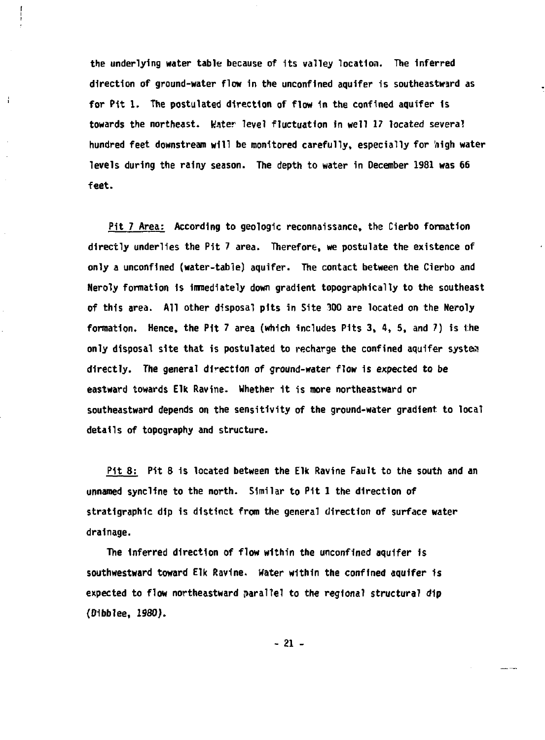**the underlying water table because of Its valley location. The Inferred direction of ground-water flow In the unconflned aquifer is southeastward as for Pit 1. The postulated direction of flow 1n the confined aquifer is towards the northeast. Water level fluctuation in well 17 located several hundred feet downstream will be monitored carefully, especially for 'nigh water levels during the rainy season. The depth to water in December 1981 was 66 feet.** 

ł

**Pit 7 Area: According to geologic reconnaissance, the Cierbo formation directly underlies the Pit 7 area. Therefore, we postulate the existence of only a unconflned (water-table) aquifer. The contact between the Cierbo and Neroly formation Is innedlately down gradient topographically to the southeast of this area. All other disposal pits in Site 300 are located on the Neroly formation. Hence, the Pit 7 area (which includes Pits 3, 4, 5, and 7) is the only disposal site that is postulated to recharge the confined aquifer system directly. The general direction of ground-water flow is expected to be eastward towards Elk Ravine. Whether it is more northeastward or southeastward depends on the sensitivity of the ground-water gradient to local details of topography and structure.** 

**Pit 8: Pit 8 1s located between the Elk Ravine Fault to the south and an unnamed syncllne to the north. Similar to Pit 1 the direction of stratlgraphlc dip is distinct from the general direction of surface water drainage.** 

**The Inferred direction of flow within the unconflned aquifer Is southwestward toward Elk Ravine. Water within the confined aquifer is expected to flow northeastward parallel to the regional structural dip <01bblee, 1980).** 

**- 21 -**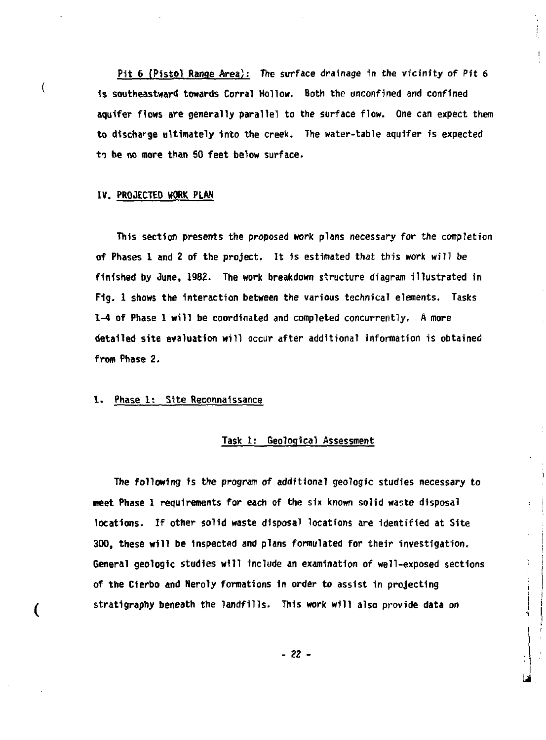**Pit 6 (Pistol Range Area): The surface drainage in the vicinity of Pit 6 1s southeastward towards Corral Hollow. Both the unconfined and confined aquifer flows are generally parallel to the surface flow. One can expect them to discharge ultimately into the creek. The water-table aquifer is expected to be no more than 50 feet below surface.** 

ł

#### **IV. PROJECTED WORK PLAN**

 $\langle$ 

**This section presents the proposed work plans necessary for the completion of Phases 1 and 2 of the project. It Is estimated that this work will be finished by June, 1982. The work breakdown structure diagram illustrated in F1g. 1 shows the interaction between the various technical elements. Tasks 1-4 of Phase 1 will be coordinated and completed concurrently. A more detailed site evaluation will occur after additional information is obtained from Phase 2.** 

### **1. Phase 1: Site Reconnaissance**

## **Task 1: Geological Assessment**

**The following is the program of additional geologic studies necessary to meet Phase 1 requirements for each of the six known solid waste disposal locations. If other solid waste disposal locations are identified at Site 300, these will be inspected and plans formulated for their investigation. General geologic studies will include an examination of well-exposed sections of the Clerbo and Neroly formations in order to assist in projecting stratigraphy beneath the landfills. This work will also provide data on** 

- *12* -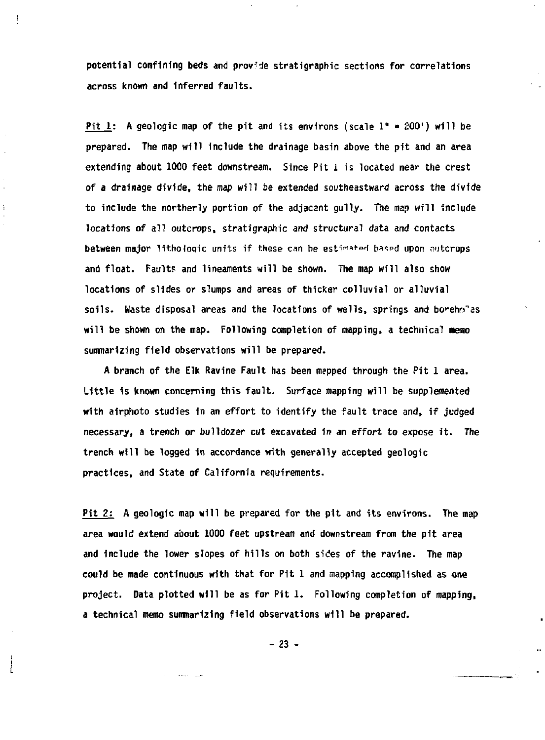**potential confining beds and provide stratigraphic sections for correlations across known and inferred faults.** 

ť

**Pit 1: A geologic map of the pit and its environs (scale 1" = £00') will be prepared. The map will include the drainage basin above the pit and an area extending about 1000 feet downstream. Since Pit i is located near the crest of a drainage divide, the** *map* **will be extended southeastward across the divide to include the northerly portion of the adjacent gully. The map will include locations of all outcrops, stratigraphic and structural data and contacts between major lithologic units if these can be estimated based upon outcrops and float. Fault? and lineaments will be shown. The map will also show locations of slides** *or* **slumps and areas of thicker colluvial or alluvial**  soils. Waste disposal areas and the locations of wells, springs and boreholas **will be shown on the map. Following completion of mapping, a technical memo summarizing field observations will be prepared.** 

**A branch of the Elk Ravine Fault has been mepped through the Pit 1 area. Little is known concerning this fault. Surface mapping will be supplemented with airphoto studies in an effort to identify the fault trace and, if judged necessary, a trench or bulldozer cut excavated In an effort to expose it. The trench will be logged in accordance with generally accepted geologic practices, and State of California requirements.** 

**Pit 2: A geologic map will be prepared for the pit and its environs. The map area would extend about 1000 feet upstream and downstream from the pit area and Include the lower slopes of hills on both sides of the ravine. The map could be made continuous with that for Pit 1 and mapping accomplished as one project. Data plotted will be as for Pit 1. Following completion of mapping, a technical memo summarizing field observations will be prepared.** 

**- 23 -**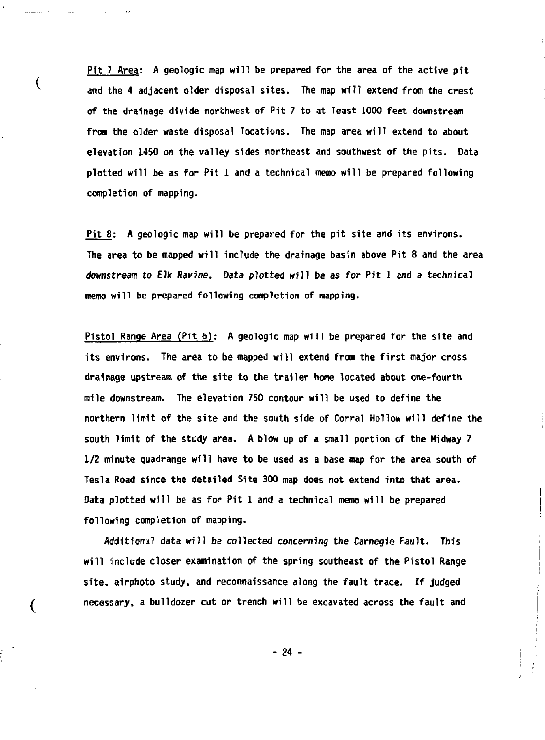**Pit 7 Area: A geologic map will be prepared for the area of the active pit and the 4 adjacent older disposal sites. The map will extend from the crest of the drainage divide northwest of Pit 7 to at least 1000 feet downstream from the older waste disposal locations. The map area will extend to about elevation 1450 on the valley sides northeast and southwest of the pits. Data plotted will be as for Pit 1 and a technical memo will be prepared following completion of mapping.** 

 $\overline{\mathcal{L}}$ 

(

**Pit 8: A geologic map will be prepared for the pit site and its environs. The area to be mapped will include the drainage basin above Pit 8 and the area downstream to Elk Ravine. Data plotted will be as for Pit 1 and a technical memo will be prepared following completion of mapping.** 

**Pistol Range Area (Pit 6) : A geologic map will be prepared for the site and its environs. The area to be mapped will extend from the first major cross drainage upstream of the site to the trailer home located about one-fourth mile downstream. The elevation 750 contour will be used to define the northern limit of the site and the south side of Corral Hollow will define the south limit of the study area. A blow up of a small portion of the Midway 7 1/2 minute quadrange will have to be used as a base map for the area south of Tesla Road since the detailed Site 300 map does not extend into that area. Data plotted will be as for Pit 1 and a technical memo will be prepared following completion of mapping.** 

**Additional data will be collected concerning the Carnegie Fault. This will include closer examination of the spring southeast of the Pistol Range site, airphoto study, and reconnaissance along the fault trace. If judged necessary, a bulldozer cut or trench will be excavated across the fault and** 

**24 -**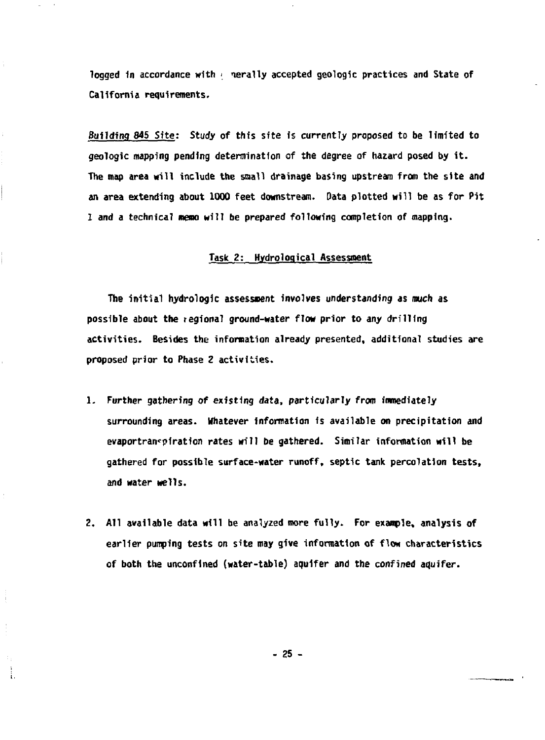**logged 1n accordance with < nerally accepted geologic practices and State of California requirements.** 

**Building 845 Site: Study of this site is currently proposed to be limited to geologic mapping pending determination of the degree of hazard posed by it. The map area Mill include the small drainage basing upstream from the site and an area extending about 1000 feet downstream. Data plotted will be as for Pit 1 and a technical memo will be prepared following completion of mapping.** 

## **Task 2: Hydrological Assessment**

**The initial hydro!ogic assessment involves understanding as much as possible about the regional ground-water flow prior to any drilling activities. Besides the information already presented, additional studies are proposed prior to Phase 2 activities.** 

- **1. Further gathering of existing data, particularly from immediately surrounding areas. Whatever information is available on precipitation and**  evaportranspiration rates will be gathered. Similar information will be **gathered for possible surface-water runoff, septic tank percolation tests, and water wells.**
- **2. All available data will be analyzed more fully. For example, analysis of earlier pumping tests on site may give information of flow characteristics of both the unconflned (water-table) aquifer and the confined aquifer.**

**- 25 -**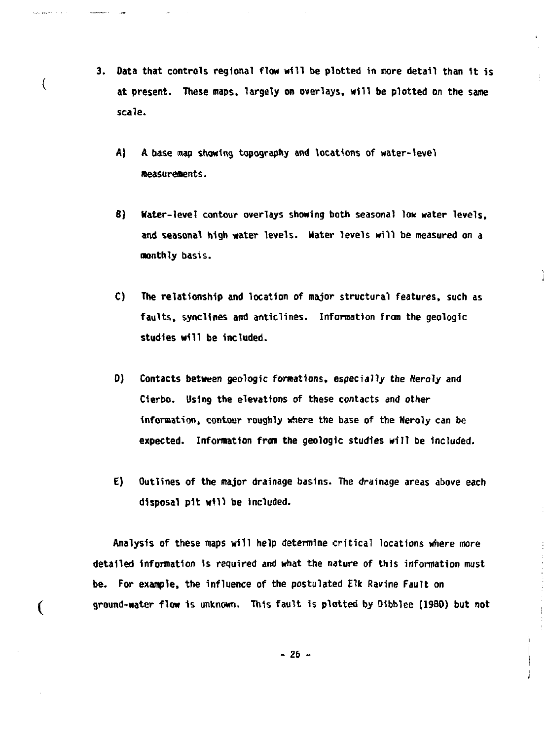- **3. Data that controls regional flow will be plotted in more detail than it is at present. These maps, largely on overlays, will be plotted on the same scale.** 
	- **A) A base map showing topography and locations of water-level measurements.**

€

 $\overline{\mathcal{L}}$ 

- **B) Hater-level contour overlays showing both seasonal lour water levels, and seasonal high water levels. Water levels will be measured on a monthly basis.**
- **C) The relationship and location of major structural features, such as faults, synclines and anticlines. Information from the geologic studies will be included.**
- **D) Contacts between geologic formations, especially the Neroly and Clerbo. Using the elevations of these contacts and other**  information, contour roughly where the base of the Neroly can be **expected. Information from the geologic studies will be Included.**
- **E) Outlines of the major drainage basins. The drainage areas above each disposal pit will be included.**

**Analysis of these maps will help determine critical locations where more detailed Information is required and what the nature of this information must be. For example, the influence of the postulated Elk Ravine Fault on ground-water flow is unknown. This fault is plotted by Bibblee (1980) but not**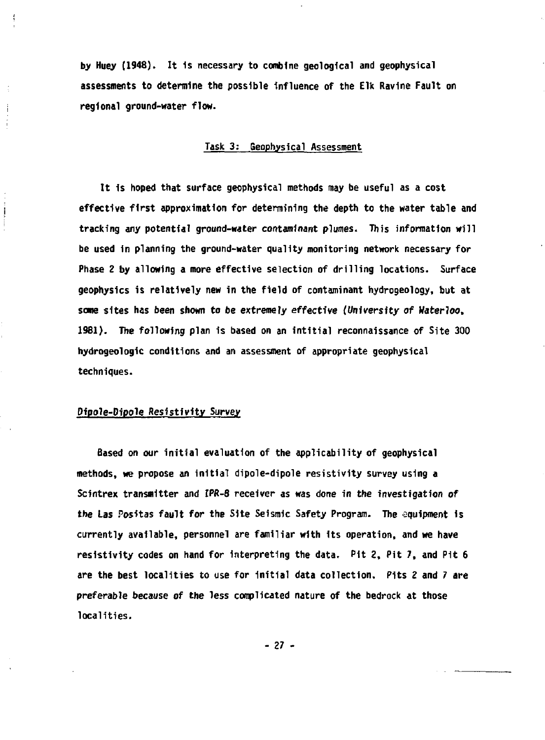**by Huey (1948). <sup>J</sup> t is necessary to combine geological and geophysical assessments to determine the possible influence of the Elk Ravine Fault on regional ground-water flow.** 

# **Task 3: geophysical Assessment**

**It is hoped that surface geophysical methods may be useful as a cost effective first approximation for determining the depth to the water table and tracking any potential ground-water** *contaminant* **plumes. This information will be used in planning the ground-water quality monitoring network necessary for Phase 2 by allowing a more effective selection of drilling locations. Surface geophysics is relatively new in the field of contaminant hydrogeology, but at some sites has been shown to be extremely effective** *(University of* **Waterloo, 1961). The following plan is based on an intitial reconnaissance of Site 300 hydrogeologic conditions and an assessment of appropriate geophysical techniques.** 

#### **Pipole-Dipole Resistivity Survey**

J.

ţ

**Based on our initial evaluation of the applicability of geophysical methods, we propose an initial dipole-dipole resistivity survey using a Scintrex transmitter and IPR-8 receiver as was** *done* **in the investigation** *of*  **the Las Positas fault for the Site Seismic Safety Program. The equipment is currently available, personnel are familiar with its operation, and we have resistivity codes on hand for interpreting the data. Pit 2, Pit 7, and Pit 6 are the best localities to use for Initial data collection. Pits 2 and 7 are preferable because of the less complicated nature of the bedrock at those localities.** 

**- 27 -**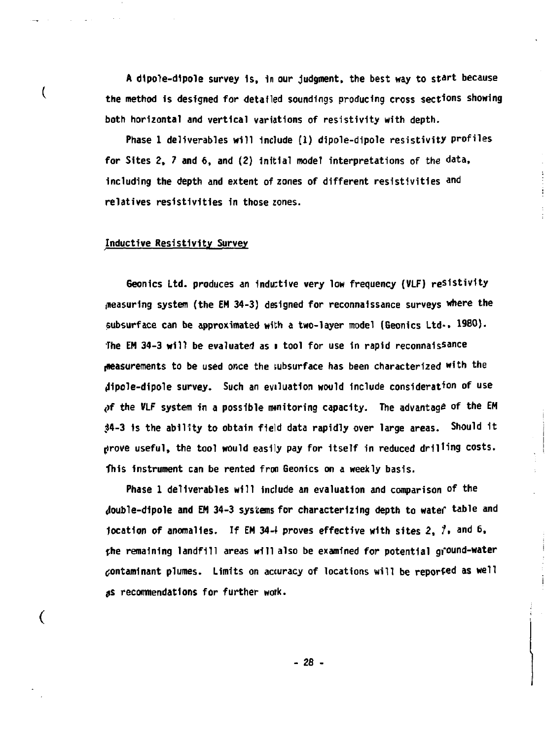**A dlpole-dipole survey is, in our judgment, the best way to start because the method is designed for detailed soundings producing cross sections showing both horizontal and vertical variations of resistivity with depth.** 

**Phase 1 deliverables will include (1) dipole-dipole resistivity profiles for Sites 2, 7 and 6, and (2) initial model interpretations of the data, including the depth and extent of zones of different resistivities and relatives resistivities in those zones.** 

### **Inductive Resistivity Survey**

t

(

**Geonics Ltd. produces an Inductive very low frequency (VLF) resistivity pleasuring system (the EM 34-3) designed for reconnaissance surveys where the subsurface can be approximated with a two-layer model (Geonics Ltd-. 1980). The EM 34-3 will be evaluated as i tool for use in rapid reconnaissance t»easurements to be used once the subsurface has been characterized with the (Jipole-dipole survey. Such an eviluation would include consideration of use <>f the VLF system in a possible mnitoring capacity. The advantage of the EM \$4-3 is the ability to obtain field data rapidly over large areas. Should it jirove useful, the tool would easily pay for itself in reduced drilling costs. This instrument can be rented fron Geonics on a weekly basis.** 

**Phase 1 deliverables will include an evaluation and comparison of the <Jouble-dipole and EM 34-3 systems for characterizing depth to watef table and location of anomalies. If EM 34-f proves effective with sites 2, /• and 6, the remaining landfill areas will also be examined for potential gi'ound-water contaminant plumes. Limits on accuracy of locations will be reported as well**  *ts* **recommendations for further work.** 

**-** *28 -*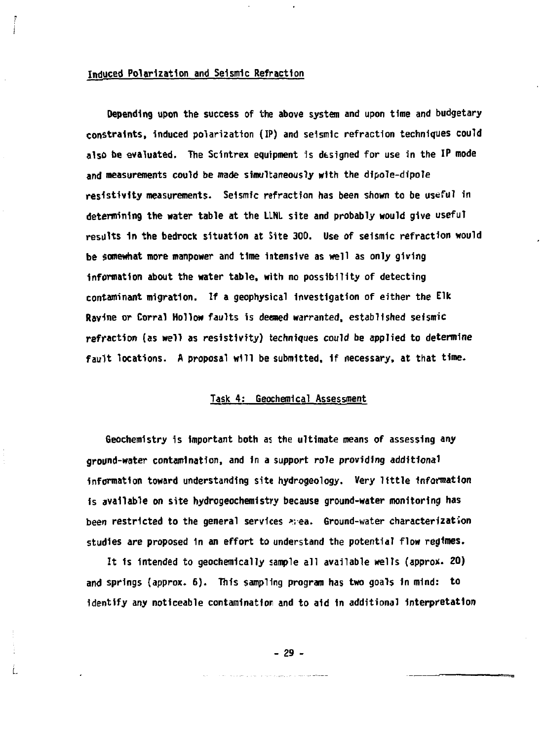#### **Induced Polarization and Seismic Refraction**

**Depending upon the success of the above system and upon time and budgetary constraints, induced polarization (IP) and seismic refraction techniques could also be evaluated. The Scintrex equipment is designed for use in the IP mode and measurements could be made simultaneously with the dipole-dipole resistivity measurements- Seismic refraction has been shown to be useful in determining the water table at the LLNL site and probably would give useful results 1n the bedrock situation at Site 300. Use of seismic refraction would be somewhat more manpower and time intensive as well as only giving information about the water table, with no possibility of detecting contaminant migration. If a geophysical investigation of either the Elk Ravine or Corral Hollow faults is deemed warranted, established seismic refraction (as well as resistivity) techniques could be applied to determine fault locations. A proposal will be submitted, 1f necessary, at that time.** 

# **Task 4: Geochemical Assessment**

**Geochemistry is important both a: the ultimate means of assessing any ground-water contamination, and in a support role providing additional information toward understanding site hydrogeology.** *Very* **little information is available on site hydrogeochemistry because ground-water monitoring has been restricted to the general services >;ea. Ground-water characterization studies are proposed 1n an effort to understand the potential flow regimes.** 

**It is intended to geochemically sample all available wells (appro\*. 20) and springs (approx. 6) . This sampling program has two goals in mind: to**  identify any noticeable contamination and to aid in additional interpretation

**- 29 -**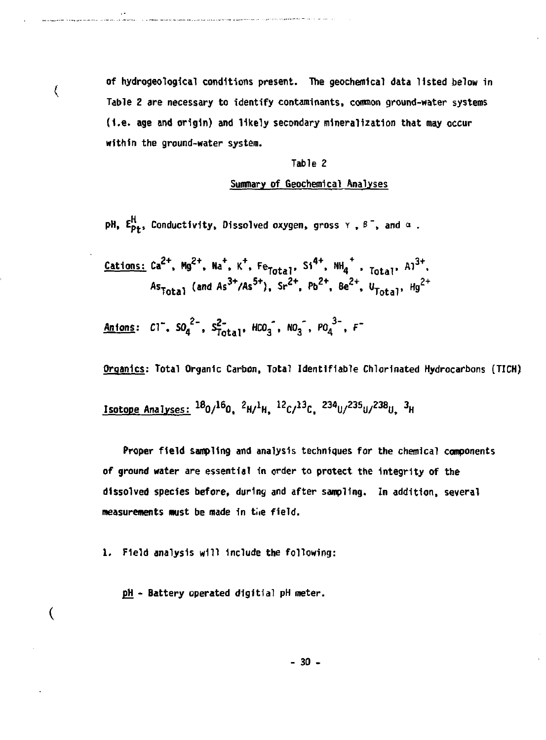of hydrogeological conditions present. The geochemical data listed below in **Table 2 are necessary to identify contaminants, cornnon ground-water systems (i.e. age and origin) and likely secondary mineralization that may occur within the ground-water system.** 

#### **Table 2**

### **Summary of Geochemlcal Analyses**

**pH,**  $E_{p+}^H$ **, Conductivity, Dissolved oxygen, gross**  $Y$ **,**  $\beta^-$ **, and**  $\alpha$ **.** 

**Cations: Ca<sup>2</sup> \*. Hg 2 + , hV", K<sup>+</sup> ,** *^ lati <sup>V</sup>* **S1 4 + , iw / ,** *TQU] ,* **Al 3 + , A s Total (an d As3+ / As5+ ) . Sr2+ . Pt,2+ ' Be<sup>2</sup> \*,** *ltJoUV* **Hg <sup>2</sup> <sup>+</sup>**

Anions:  $CI^{-}$ ,  $SO_4^{2-}$ ,  $S_{Total}^{2}$ ,  $HCO_3^-$ ,  $NO_3^-$ ,  $PO_4^{3-}$ ,  $F^{-}$ 

we construct about the class a special state control in profession of the case of the construction of the control

 $\langle$ 

 $\overline{\mathcal{L}}$ 

**Organics: Total Organic Carbon, Total Identifiable Chlorinated Hydrocarbons (TICH)** 

<u>Isotope Analyses: 100/100, 6H/4H, 16C/10C, 634U/630U/630U, 6</u>

**Proper field sampling and analysis techniques for the chemical components of ground water are essential In order to protect the integrity of the dissolved species before, during and after sampling. In addition, several measurements must be made 1n tie field.** 

**1. Field analysis will include the following:** 

**pji - Battery operated digitfal pH meter.** 

**- 30 -**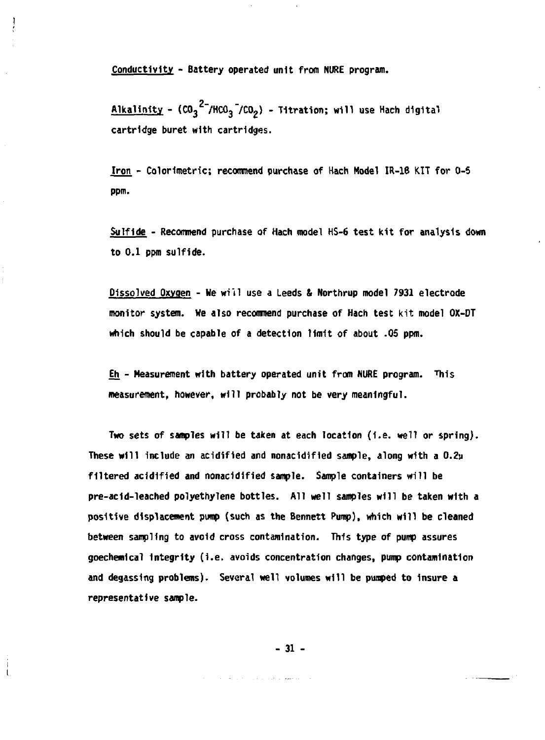**Conductivity - Battery operated unit from NURE program.** 

**Alkalinity - (C0 <sup>3</sup> <sup>2</sup> 7HC0 <sup>3</sup> 7C0 <sup>2</sup> ) - Titration; will use Hach digital cartridge buret with cartridges.** 

**Iron - Colorimetric; recommend purchase of Hach Model IR-18 KIT for 0-5 ppm.** 

**Sulfide - Recommend purchase of Hach model HS-6 test kit for analysis down to 0.1 ppm sulfide.** 

**Dissolved Oxygen - We wi'il use a Leeds & Northrup model 7931 electrode monitor system. We also recommend purchase of Hach test kit model OX-DT which should be capable of a detection limit of about .05 ppm.** 

**Eh - Measurement with battery operated unit from NUftE program. This measurement, however, will probably not be very meaningful.** 

**Two sets of samples will be taken at each location (i.e. well or spring).**  These will include an acidified and nonacidified sample, along with a 0.2u filtered acidified and nonacidified sample. Sample containers will be **pre-acId-leached polyethylene bottles. All well samples will be taken with a positive displacement pump (such as the Bennett Pump), which will be cleaned between sampling to avoid cross contamination. This type of pump assures goechemlcal Integrity (I.e. avoids concentration changes, pump contamination and degassing problems). Several well volumes will be pumped to Insure a representative sample.** 

**- 31 -**

and the control of the property of the second second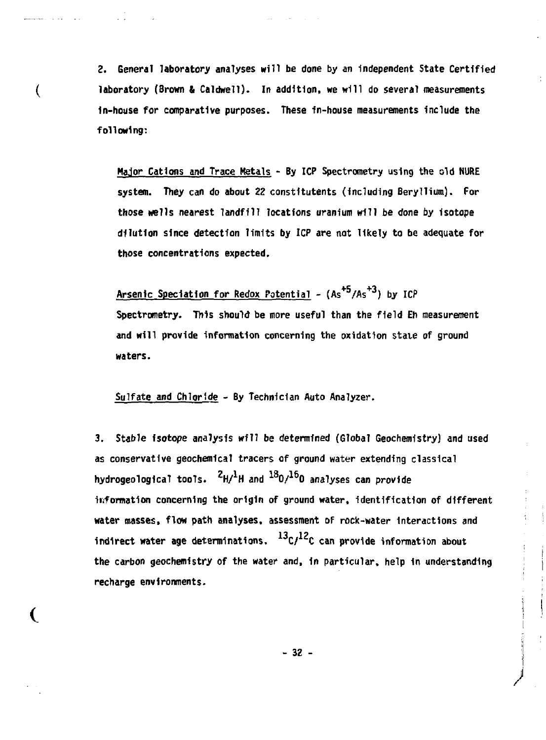**2. General laboratory analyses will be done by an independent State Certified laboratory (Brown & Caldwell). In addition, we will do several measurements in-house for comparative purposes. These in-house measurements include the following:** 

 $\overline{\mathcal{L}}$ 

€

**Major Cations and Trace Metals - By ICP Spectrometry using the old NURE system. They can do about** *I t* **constltutents (including Beryllium). For those wells nearest landfill locations uranium will be done** *by* **Isotope dilution since detection limits by ICP are not likely to be adequate for those concentrations expected.** 

Arsenic Speciation for Redox Potential -  $(As<sup>+5</sup>/As<sup>+3</sup>)$  by ICP **Spectrometry. This should be more useful than the field Eh measurement and will provide information concerning the oxidation state of ground waters.** 

**Sulfate and Chloride - By Technician Auto Analyzer.** 

**3. Stable isotope analysis will be determined (Global Geochemistry) and used as conservative geochemical tracers of ground water extending classical hydrogeological tools. H/ H and <sup>18</sup> 0 / 1 6 0 analyses can provide information concerning the origin of ground water, identification of different water masses, flow path analyses, assessment of rock-water Interactions and 13 12 indirect water age determinations. C/ C can provide information about the carbon geochemistry of the water and, In particular, help in understanding recharge environments.** 

**- 32 -**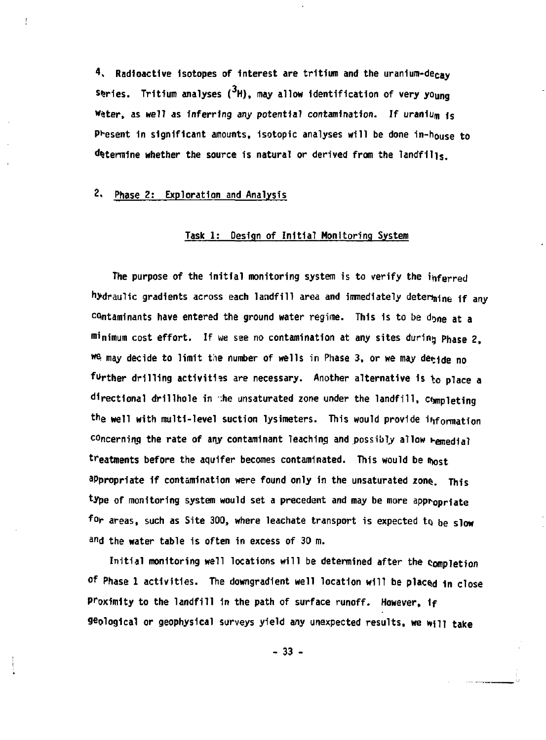**4> Radioactive isotopes of Interest are tritium and the uranium-decay series. Tritium analyses ( H), may allow Identification of very young**  Water, as well as inferring any potential contamination. If uraniu<sub>m is</sub> **Present 1n significant amounts, isotopic analyses will be done in-h0use to determine whether the source Is natural or derived from the landfills.** 

**2« Phase** *2:* **Exploration and Analysis** 

Ţ

### **Task 1: Design of Initial Monitoring System**

**The purpose of the Initial monitoring system is to verify the inferred**  hydraulic gradients across each landfill area and immediately determine if any contaminants have entered the ground water regime. This is to be d<sub>one at a</sub> **minimum cost effort. If we see no contamination at any sites during Phase** *2,*  **we may decide to limit** *the* **number of wells in Phase 3, or we may decide no farther drilling activities are necessary. Another alternative Is** *\ <sup>0</sup>* **place a directional drillhole in :he unsaturated zone under the landfill, c<jmpleting**  the well with multi-level suction lysimeters. This would provide information concerning the rate of any contaminant leaching and possibly allow remedial treatments before the aquifer becomes contaminated. This would be most appropriate if contamination were found only in the unsaturated zone. This **'type of monitoring system would set a precedent and may be more appropriate for areas, such as Site 300, where leachate transport is expected to be slow**  and the water table is often in excess of 30 m.

**Initial monitoring well locations will be determined after the Completion**  of Phase 1 activities. The downgradient well location will be placed in close Proximity to the landfill in the path of surface runoff. However, if **geological or geophysical surveys yield any unexpected results, we will take** 

**- 33 -**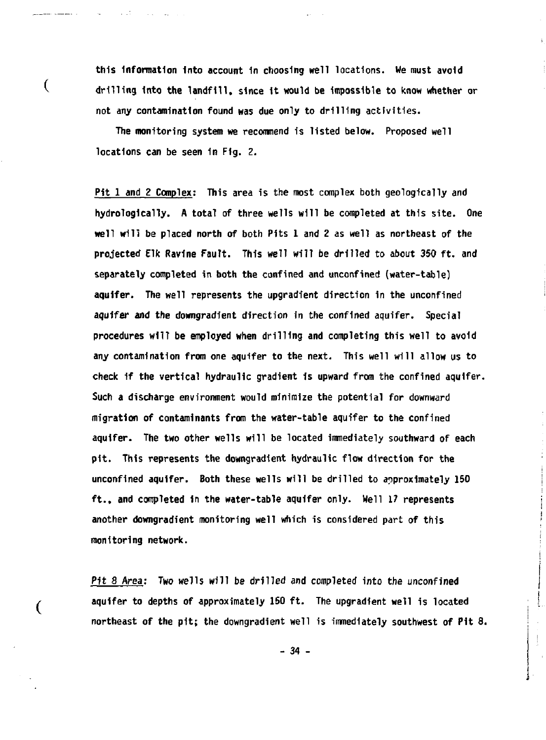**this Information Into account 1n choosing well locations. We must avoid drilling Into the landfill, since it would be Impossible to know whether or not any contamination found was due only to drilling activities.** 

**The monitoring system we recommend is listed below. Proposed well locations can be seen in Fig. 2.** 

is of

 $\overline{(}$ 

(

**Pit 1 and 2 Complex: This area is the most complex both geologically and hydrologlcally. A total of three wells will be completed at this site. One well will be placed north of both Pits 1 and 2 as well as northeast of the projected Elk Ravine Fault. This well will be drilled to about 350 ft. and separately completed in both the confined and unconfined (water-table) aquifer. The well represents the upgradient direction in the unconfined aquifer and the downgradient direction in the confined aquifer. Special procedures will be employed when drilling and completing this well to avoid any contamination from one aquifer to the next. This well will allow us to check 1f the vertical hydraulic gradient is upward from the confined aquifer. Such a discharge environment would minimize the potential for downward migration of contaminants from the water-table aquifer to the confined aquifer. The two other wells will be located immediately southward of each pit. This represents the downgradient hydraulic flow direction for the unconfined aquifer. Both these wells will be drilled to approximately 150 ft., and completed in the water-table aquifer only. Well 17 represents another downgradient monitoring well which is considered part of this monitoring network.** 

**Pit 8** *Area:* **Two wells will be drilled and completed into the unconfined aquifer to depths of approximately 150 ft. The upgradient well is located northeast of the pit; the downgradient well is immediately southwest of Pit 8.** 

**- 34 -**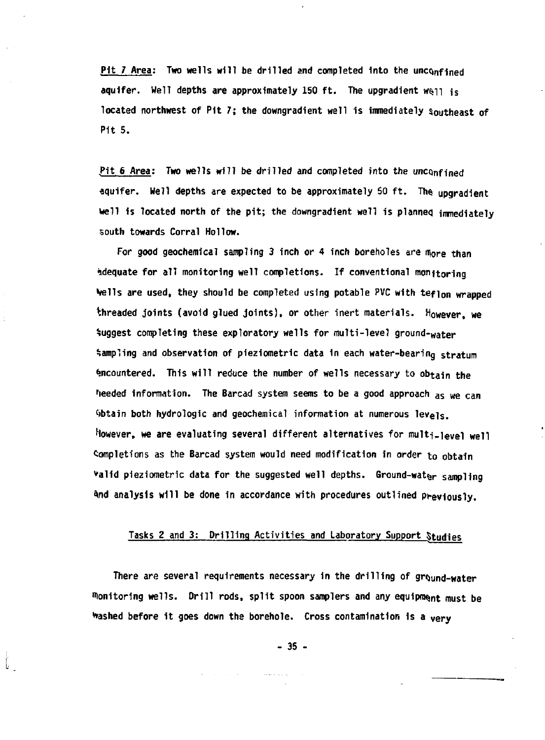Pit *1* Area: Two wells will be drilled and completed into the unconfined aquifer. Well depths are approximately 150 ft. The upgradient well is located northwest of Pit 7; the downgradient well is immediately southeast of **Pit 5.** 

**.Pit 6 Area; Two wells will be drilled and completed into the uncQnfined aquifer. Well depths are expected to be approximately SO ft. The upgradient well is located north of the pit; the downgradient well is planned imnediately south towards Corral Hollow.** 

For good geochemical sampling 3 inch or 4 inch boreholes are more than **Adequate for all monitoring well completions. If conventional monitoring Veils are used, they should be completed using potable PVC with teflon wrapped threaded joints (avoid glued joints), or other inert materials. However, we**  Suggest completing these exploratory wells for multi-level ground-water **Sampling and observation of plezlometrlc data in each water-bearing stratum Encountered. This will reduce the number of wells necessary to obtain the**  heeded information. The Barcad system seems to be a good approach as we can **•obtain both hydrologic and geochemical information at numerous levels.**  However, we are evaluating several different alternatives for multi-level well **Completions as the Barcad system would need modification in order to obtain \*alid pieziometric data for the suggested well depths. Ground-watgr sampling**  And analysis will be done in accordance with procedures outlined previously.

# **Tasks 2 and 3; Drilling Activities and Laboratory Support Studies**

**There are several requirements necessary 1n the drilling of ground-water "lonltorlng wells. Drill rods, split spoon samplers and any equipment must be Washed before it goes down the borehole. Cross contamination 1s a very** 

**- 35 -**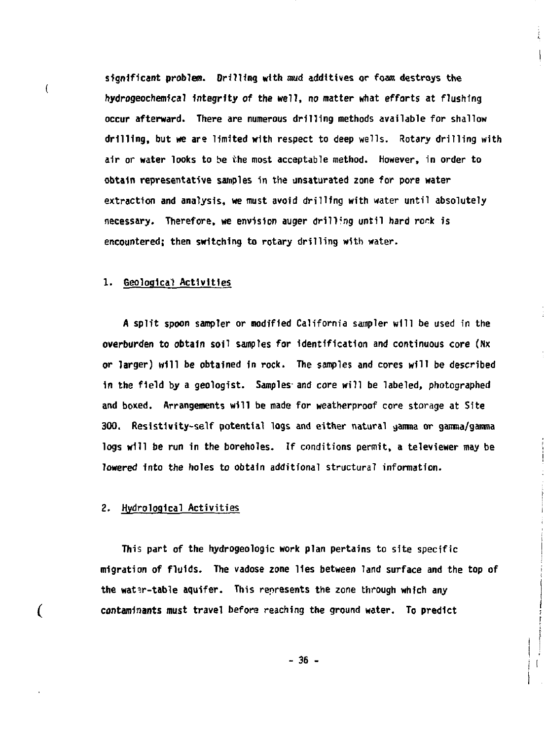**significant problem. Drilling with mud additives or foam destroys the hydrogeochemlcal integrity** *of* **the well,** *no* **matter what efforts at flushing occur afterward. There are numerous drilling methods available for shallow drilling, but we are limited with respect to deep wells. Rotary drilling with air or water looks to be the most acceptable method. However, in order to obtain representative samples in the unsaturated zone for pore water extraction and analysis, we must avoid drilling with water until absolutely**  necessary. Therefore, we envision auger drilling until hard rock is **encountered; then switching to rotary drilling with water.** 

 $\frac{1}{2}$ 

#### **1. Geological Activities**

 $\overline{(}$ 

€

**A split spoon sampler or modified California sampler will be used in the overburden to obtain soil samples for identification and continuous core (Nx or larger) will be obtained in rock. The samples and cores will be described in the field by a geologist. Samples and core will be labeled, photographed and boxed. Arrangements will be made for weatherproof core storage at Site 300. Resistivity-self potential logs and either natural aanma or gamma/gamma logs will be run in the boreholes. If conditions permit, a televiewer may be lowered Into the holes to obtain additional structural information.** 

#### **2. Hvdrological Activities**

**This part of the hydrogeologic work plan pertains to site specific migration of fluids. The vadose zone lies between land surface and the top of the wat^r-table aquifer. This represents the zone through which any contaminants must travel before reaching the ground water. To predict** 

**- 36 -**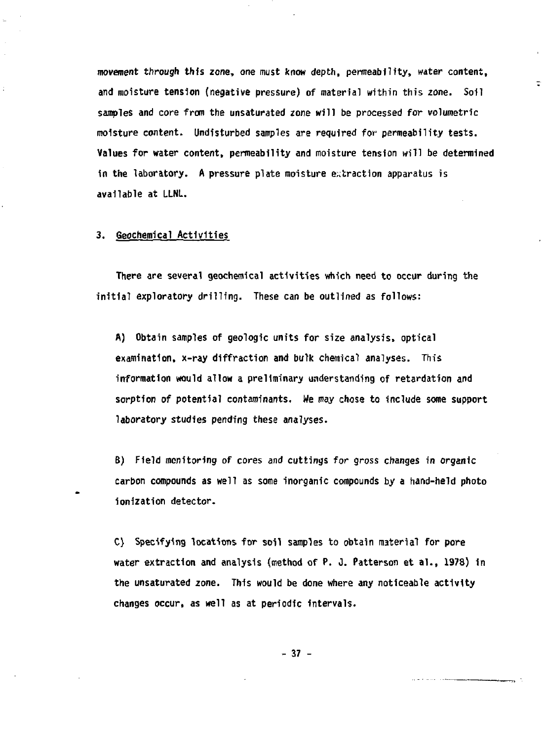**movement through thfs zone, one must know depth, permeability, water content, and moisture tension {negative pressure) of material within this zone. Soil samples and core from the unsaturated zone will be processed for volumetric moisture content. Undisturbed samples are required for permeability tests. Values for water content, permeability and moisture tension will be determined in the laboratory. A pressure plate moisture extraction apparatus is available at LLNL.** 

## **3. Geochemical Activities**

**There are several geochemical activities which need to occur during the initial exploratory drilling. These can be outlined as follows:** 

**A) Obtain samples of geologic units for size analysis, optical examination, x-ray diffraction and bulk chemical analyses. This information would allow a preliminary understanding of retardation and sorption of potential contaminants. We may chose to include some support laboratory studies pending these analyses.** 

**B) Field monitoring of cores and cuttings for gross changes in organic carbon compounds as well as some inorganic compounds by a hand-held photo ionization detector.** 

**C) Specifying locations for soil samples to obtain material for pore water extraction and analysis (method of P. J. Patterson et al., 1978) in the unsaturated zone. This would be done where any noticeable activity changes occur, as well as at periodic intervals.** 

**- 37 -**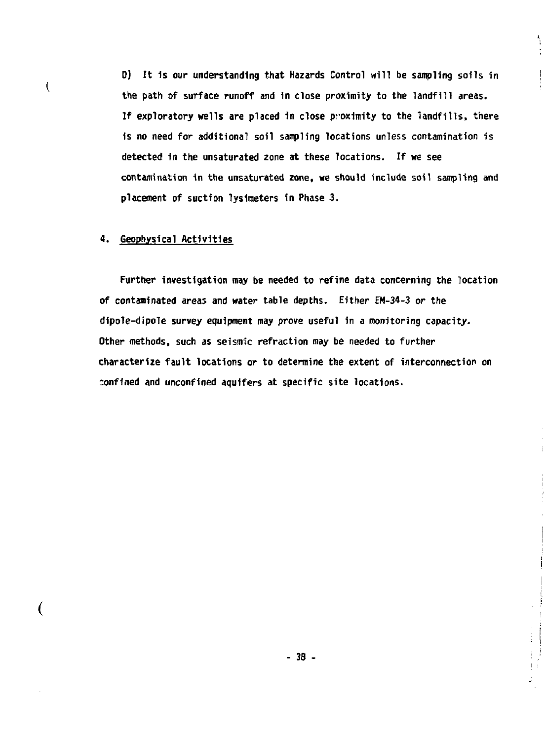**D) It 1s our understanding that Hazards Control will be sampling soils in the path of surface runoff and 1n close proximity to the landfill areas. If exploratory wells are placed in close proximity to the landfills, there 1s no need for additional soil sampling locations unless contamination is detected 1n the unsaturated zone at these locations. If we see contamination in the unsaturated zone, we should include soil sampling and placement of suction lysimeters in Phase 3.** 

١

#### **4. Geophysical Activities**

**(** 

 $\overline{(}$ 

**Further investigation may be needed to refine data concerning the location of contaminated areas and water table depths. Either EM-34-3 or the dipole-dipole survey equipment may prove useful in a monitoring capacity. Other methods, such as seismic refraction may be needed to further characterize fault locations or to determine the extent of interconnection on confined and unconflned aquifers at specific site locations.**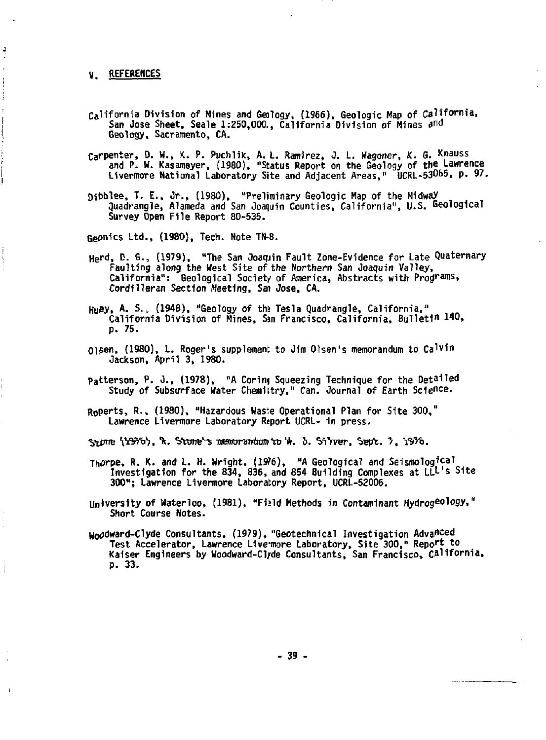## **V. REFERENCES**

- **California Division of Mines and Geology, (1966), Geologic Map of California, San Jose Sheet, Seale 1:250,000., California Division of Mines and Geology, Sacramento, CA.**
- **Carpenter, D. W., K. P. Puchlik, A. L. Ramirez, J. L. Wagoner, K. S. Knauss and P. W. Kasameyer, (1980), "Status Report on the Geology of the Lawrence Livermore National Laboratory Site and Adjacent Areas," UCRL-53065, P- <sup>97</sup> -**
- **Dibblee, T. E., Jr., (1980), "Preliminary Geologic Map of the Midway quadrangle, Alameda and San Joaquin Counties, California", U.S. Geological Survey Open File Report 80-535.**

**Geonics Ltd., (1980), Tech. Note TN-8.** 

- **Herd, D. G., (1979), "The San Joaquin Fault Zone-Evidence for Late Quaternary Faulting along the West Site of the Northern San Joaquin Valley, California": Geological Society of America, Abstracts with Programs, Cordilleran Section Meeting,** *San* **Jose, CA.**
- **Huisy. A. <sup>s</sup> -> (1948), "Geology of ths Tesla Quadrangle, California,"**  California Division of Mines, San Francisco, California, Bulleti<sup>n 140</sup>, **p. 75.**
- **Oisen, (1980), L. Roger's supplement to Jim Olsen's memorandum to Ca l v 1 n Jackson, April 3, 1980.**
- **Patterson, P. 0., (1978), "A Corinj Squeezing Technique for the Detailed Study of Subsurface Water Chemistry," Can. Journal of Earth Science.**
- **R<sup>0</sup> perts, R., (1980), "Hazardous Waste Operational Plan for Site 300," Lawrence Livermore Laboratory Rtport UCRL- in press.**
- **Sttnre \YSW>. "k.** *'Hvmrn's •mrnnmitmn'm'\*. i.* **Wrrer, tretrt:. ">, YSW>.**
- Thorpe, R. K. and L. H. Wright, (1976), "A Geological and Seismolog<sup>ical</sup> **Investigation for the 834, 836, and 854 Building Complexes at LLL's Site 300"; Lawrence Livermore Laboratory Report, UCRL-52006.**
- **University of Waterloo, (1981), "Fi»ld Methods in Contaminant Hydrogeology," Short Course Notes.**
- **Woodward-Clyde Consultants, (1979), "Geotechnical Investigation Advanced Test Accelerator, Lawrence Livcmore Laboratory, Site 300," Repo<sup>r</sup> \* t° Kaiser Engineers by Woodward-Cl/de Consultants, San Francisco, California. p. 33.**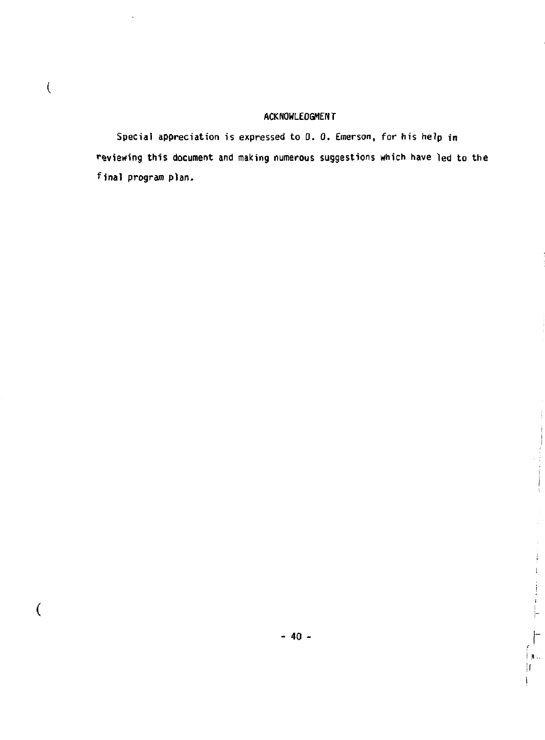# **ACKNOWLEDGMENT**

**Special appreciation is expressed to D. 0. Emerson, for his help in reviewing this document and making numerous suggestions which have led to the final program plan.** 

 $\overline{(\}$ 

**i,s. If** 

Ĺ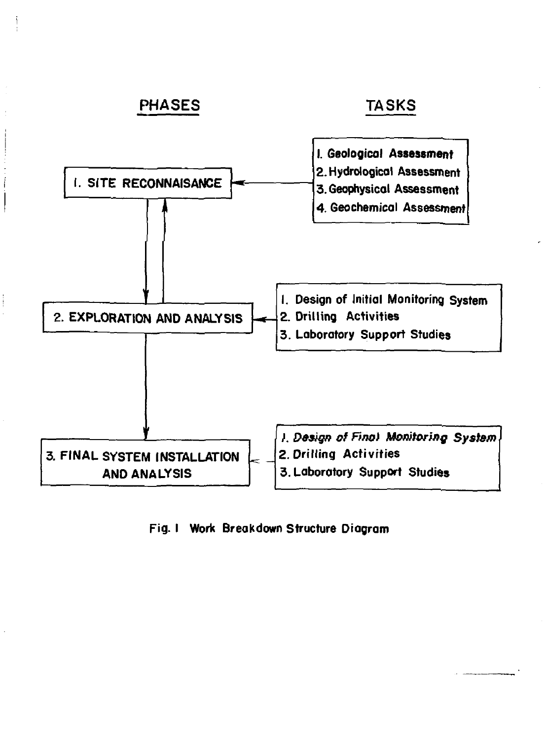

**Fig. I Work Breakdown Structure Diagram**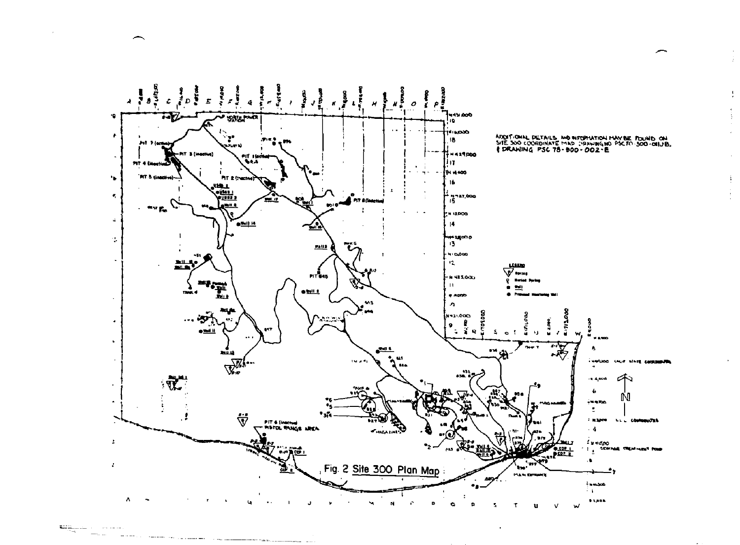

 $\cdot$ 

ŧ

 $\ddot{\mathrm{i}}$ 

 $\left\langle \frac{\mathbf{q}+\mathbf{q}}{2\sqrt{2\pi}\mathbf{q}}\right\rangle _{L^2(\mathbb{R}^2)}\left\langle \mathbf{q}-\mathbf{q}\right\rangle _{L^2(\mathbb{R}^2)}\left\langle \mathbf{q}-\mathbf{q}\right\rangle _{L^2(\mathbb{R}^2)}$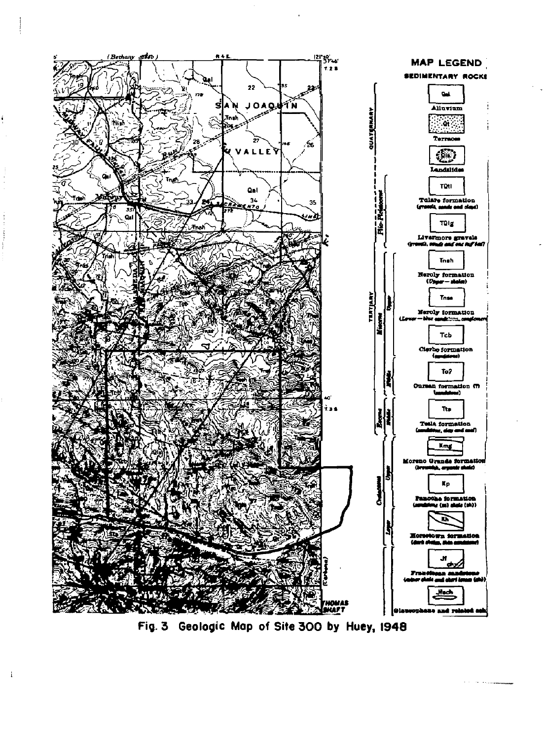

**Fig. 3 Geologic Map of Site 300 by Huey, 1948** 

ï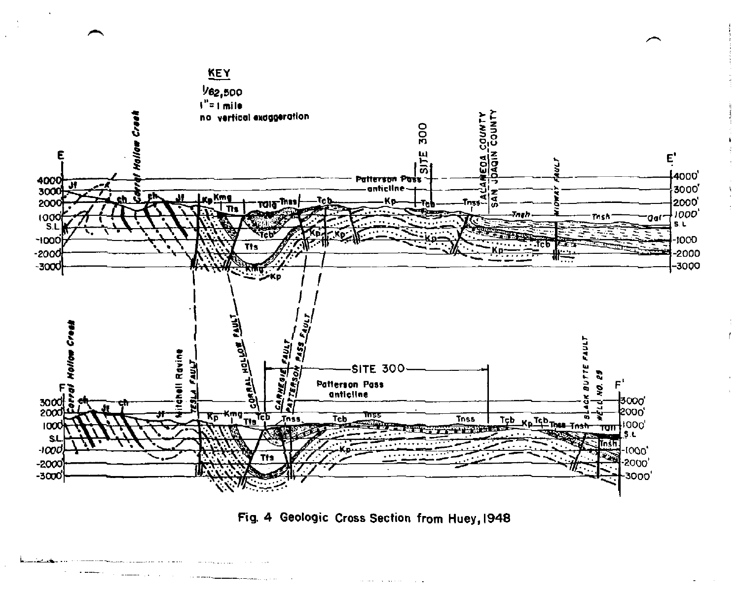

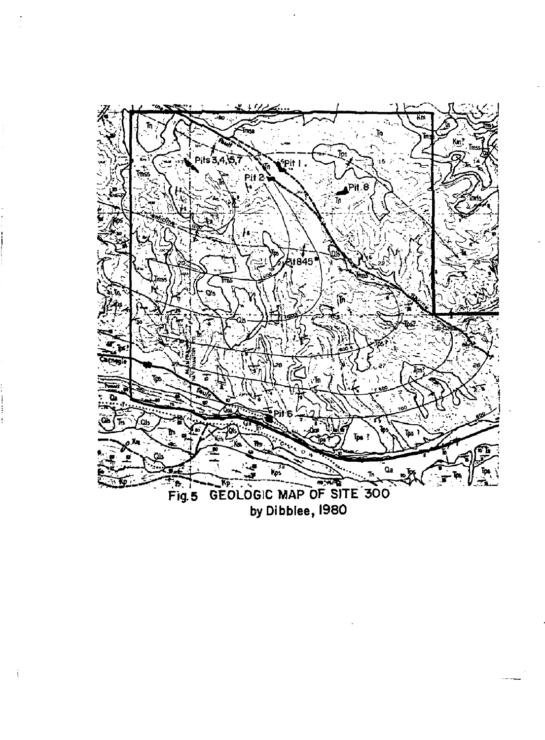

by Dibblee, 1980–